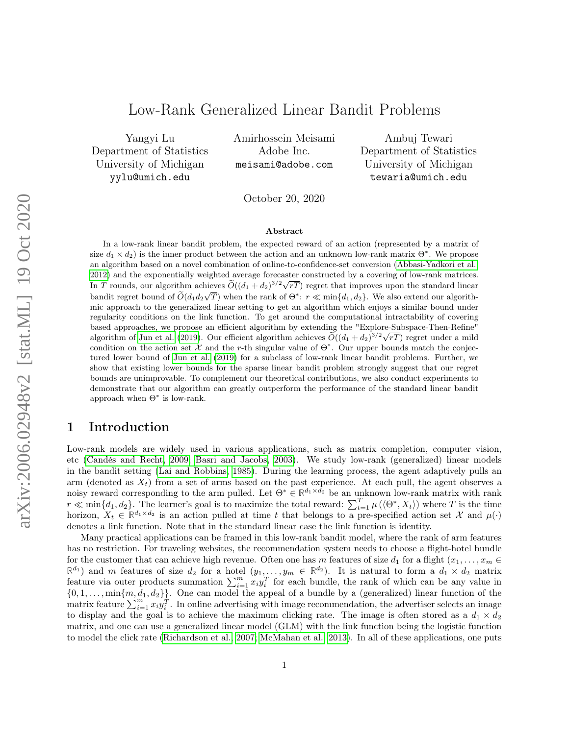## Low-Rank Generalized Linear Bandit Problems

Yangyi Lu Department of Statistics University of Michigan yylu@umich.edu

Amirhossein Meisami Adobe Inc. meisami@adobe.com

Ambuj Tewari Department of Statistics University of Michigan tewaria@umich.edu

October 20, 2020

#### Abstract

In a low-rank linear bandit problem, the expected reward of an action (represented by a matrix of size  $d_1 \times d_2$ ) is the inner product between the action and an unknown low-rank matrix  $\Theta^*$ . We propose an algorithm based on a novel combination of online-to-confidence-set conversion [\(Abbasi-Yadkori et al.,](#page-10-0) [2012\)](#page-10-0) and the exponentially weighted average forecaster constructed by a covering of low-rank matrices. 2012) and the exponentially weighted average forecaster constructed by a covering of low-rank matrices.<br>In T rounds, our algorithm achieves  $\widetilde{O}((d_1 + d_2)^{3/2}\sqrt{rT})$  regret that improves upon the standard linear bandit regret bound of  $\widetilde{O}(d_1d_2\sqrt{T})$  when the rank of  $\Theta^*$ :  $r \ll \min\{d_1, d_2\}$ . We also extend our algorithmic approach to the generalized linear setting to get an algorithm which enjoys a similar bound under regularity conditions on the link function. To get around the computational intractability of covering based approaches, we propose an efficient algorithm by extending the "Explore-Subspace-Then-Refine" based approaches, we propose an efficient algorithm by extending the "Explore-Subspace-1 nen-Refine" algorithm of [Jun et al.](#page-11-0) [\(2019\)](#page-11-0). Our efficient algorithm achieves  $\widetilde{O}((d_1 + d_2)^{3/2}\sqrt{rT})$  regret under a mild condition on the action set  $\mathcal X$  and the r-th singular value of  $\Theta^*$ . Our upper bounds match the conjectured lower bound of [Jun et al.](#page-11-0) [\(2019\)](#page-11-0) for a subclass of low-rank linear bandit problems. Further, we show that existing lower bounds for the sparse linear bandit problem strongly suggest that our regret bounds are unimprovable. To complement our theoretical contributions, we also conduct experiments to demonstrate that our algorithm can greatly outperform the performance of the standard linear bandit approach when  $\Theta^*$  is low-rank.

## 1 Introduction

Low-rank models are widely used in various applications, such as matrix completion, computer vision, etc [\(Candès and Recht, 2009;](#page-11-1) [Basri and Jacobs, 2003\)](#page-11-2). We study low-rank (generalized) linear models in the bandit setting [\(Lai and Robbins, 1985\)](#page-11-3). During the learning process, the agent adaptively pulls an arm (denoted as  $X_t$ ) from a set of arms based on the past experience. At each pull, the agent observes a noisy reward corresponding to the arm pulled. Let  $\Theta^* \in \mathbb{R}^{d_1 \times d_2}$  be an unknown low-rank matrix with rank  $r \ll \min\{d_1, d_2\}$ . The learner's goal is to maximize the total reward:  $\sum_{t=1}^T \mu(\langle \Theta^*, X_t \rangle)$  where T is the time horizon,  $X_t \in \mathbb{R}^{d_1 \times d_2}$  is an action pulled at time t that belongs to a pre-specified action set X and  $\mu(\cdot)$ denotes a link function. Note that in the standard linear case the link function is identity.

Many practical applications can be framed in this low-rank bandit model, where the rank of arm features has no restriction. For traveling websites, the recommendation system needs to choose a flight-hotel bundle for the customer that can achieve high revenue. Often one has m features of size  $d_1$  for a flight  $(x_1, \ldots, x_m \in$  $\mathbb{R}^{d_1}$  and m features of size  $d_2$  for a hotel  $(y_1, \ldots, y_m \in \mathbb{R}^{d_2})$ . It is natural to form a  $d_1 \times d_2$  matrix feature via outer products summation  $\sum_{i=1}^{m} x_i y_i^T$  for each bundle, the rank of which can be any value in  $\{0, 1, \ldots, \min\{m, d_1, d_2\}\}.$  One can model the appeal of a bundle by a (generalized) linear function of the matrix feature  $\sum_{i=1}^{m} x_i y_i^T$ . In online advertising with image recommendation, the advertiser selects an image to display and the goal is to achieve the maximum clicking rate. The image is often stored as a  $d_1 \times d_2$ matrix, and one can use a generalized linear model (GLM) with the link function being the logistic function to model the click rate [\(Richardson et al., 2007;](#page-11-4) [McMahan et al., 2013\)](#page-11-5). In all of these applications, one puts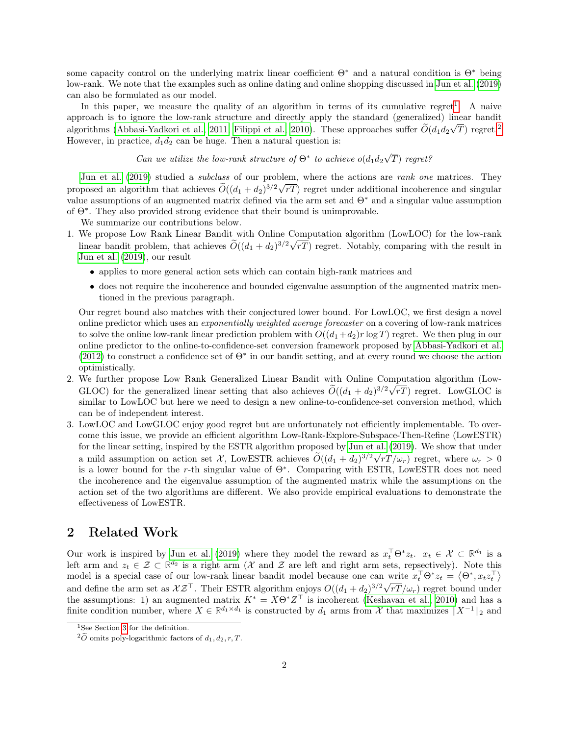some capacity control on the underlying matrix linear coefficient  $\Theta^*$  and a natural condition is  $\Theta^*$  being low-rank. We note that the examples such as online dating and online shopping discussed in [Jun et al.](#page-11-0) [\(2019\)](#page-11-0) can also be formulated as our model.

In this paper, we measure the quality of an algorithm in terms of its cumulative regret<sup>[1](#page-1-0)</sup>. A naive approach is to ignore the low-rank structure and directly apply the standard (generalized) linear bandit algorithms [\(Abbasi-Yadkori et al., 2011;](#page-10-1) [Filippi et al., 2010\)](#page-11-6). These approaches suffer  $O(d_1d_2\sqrt{T})$  $O(d_1d_2\sqrt{T})$  $O(d_1d_2\sqrt{T})$  regret.<sup>2</sup> However, in practice,  $d_1 d_2$  can be huge. Then a natural question is:

#### Can we utilize the low-rank structure of  $\Theta^*$  to achieve  $o(d_1d_2)$ √ T) regret?

[Jun et al.](#page-11-0) [\(2019\)](#page-11-0) studied a *subclass* of our problem, where the actions are *rank one* matrices. They proposed an algorithm that achieves  $\tilde{O}((d_1 + d_2)^{3/2}\sqrt{rT})$  regret under additional incoherence and singular value assumptions of an augmented matrix defined via the arm set and  $\Theta^*$  and a singular value assumption of Θ<sup>∗</sup> . They also provided strong evidence that their bound is unimprovable.

We summarize our contributions below.

- 1. We propose Low Rank Linear Bandit with Online Computation algorithm (LowLOC) for the low-rank linear bandit problem, that achieves  $\widetilde{O}((d_1 + d_2)^{3/2}\sqrt{rT})$  regret. Notably, comparing with the result in [Jun et al.](#page-11-0) [\(2019\)](#page-11-0), our result
	- applies to more general action sets which can contain high-rank matrices and
	- does not require the incoherence and bounded eigenvalue assumption of the augmented matrix mentioned in the previous paragraph.

Our regret bound also matches with their conjectured lower bound. For LowLOC, we first design a novel online predictor which uses an exponentially weighted average forecaster on a covering of low-rank matrices to solve the online low-rank linear prediction problem with  $O((d_1+d_2)r \log T)$  regret. We then plug in our online predictor to the online-to-confidence-set conversion framework proposed by [Abbasi-Yadkori et al.](#page-10-0) [\(2012\)](#page-10-0) to construct a confidence set of  $\Theta^*$  in our bandit setting, and at every round we choose the action optimistically.

- 2. We further propose Low Rank Generalized Linear Bandit with Online Computation algorithm (Low-GLOC) for the generalized linear setting that also achieves  $O((d_1 + d_2)^{3/2}\sqrt{rT})$  regret. LowGLOC is similar to LowLOC but here we need to design a new online-to-confidence-set conversion method, which can be of independent interest.
- 3. LowLOC and LowGLOC enjoy good regret but are unfortunately not efficiently implementable. To overcome this issue, we provide an efficient algorithm Low-Rank-Explore-Subspace-Then-Refine (LowESTR) for the linear setting, inspired by the ESTR algorithm proposed by [Jun et al.](#page-11-0) [\(2019\)](#page-11-0). We show that under a mild assumption on action set X, LowESTR achieves  $\widetilde{O}((d_1 + d_2)^{3/2}\sqrt{rT}/\omega_r)$  regret, where  $\omega_r > 0$ is a lower bound for the r-th singular value of  $\Theta^*$ . Comparing with ESTR, LowESTR does not need the incoherence and the eigenvalue assumption of the augmented matrix while the assumptions on the action set of the two algorithms are different. We also provide empirical evaluations to demonstrate the effectiveness of LowESTR.

### 2 Related Work

Our work is inspired by [Jun et al.](#page-11-0) [\(2019\)](#page-11-0) where they model the reward as  $x_t^{\top} \Theta^* z_t$ .  $x_t \in \mathcal{X} \subset \mathbb{R}^{d_1}$  is a left arm and  $z_t \in \mathcal{Z} \subset \mathbb{R}^{d_2}$  is a right arm (X and Z are left and right arm sets, repsectively). Note this model is a special case of our low-rank linear bandit model because one can write  $x_t^\top \Theta^* z_t = \langle \Theta^*, x_t z_t^\top \rangle$ and define the arm set as  $XZ^{\top}$ . Their ESTR algorithm enjoys  $O((d_1 + d_2)^{3/2}\sqrt{rT}/\omega_r)$  regret bound under the assumptions: 1) an augmented matrix  $K^* = X\Theta^* Z^\top$  is incoherent [\(Keshavan et al., 2010\)](#page-11-7) and has a finite condition number, where  $X \in \mathbb{R}^{d_1 \times d_1}$  is constructed by  $d_1$  arms from X that maximizes  $||X^{-1}||_2$  and

<span id="page-1-0"></span><sup>&</sup>lt;sup>1</sup>See Section [3](#page-2-0) for the definition.

<span id="page-1-1"></span> ${}^{2}\tilde{O}$  omits poly-logarithmic factors of  $d_1, d_2, r, T$ .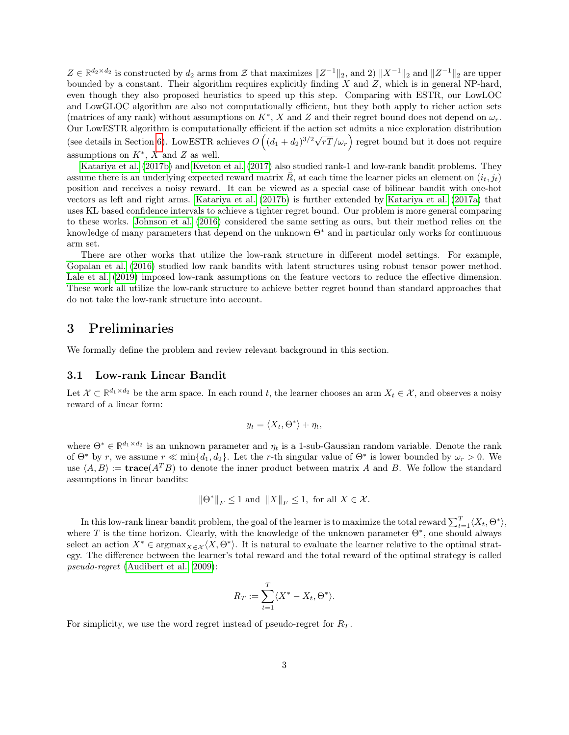$Z \in \mathbb{R}^{d_2 \times d_2}$  is constructed by  $d_2$  arms from  $\mathcal{Z}$  that maximizes  $||Z^{-1}||_2$ , and  $||X^{-1}||_2$  and  $||Z^{-1}||_2$  are upper bounded by a constant. Their algorithm requires explicitly finding  $X$  and  $Z$ , which is in general NP-hard, even though they also proposed heuristics to speed up this step. Comparing with ESTR, our LowLOC and LowGLOC algorithm are also not computationally efficient, but they both apply to richer action sets (matrices of any rank) without assumptions on  $K^*$ , X and Z and their regret bound does not depend on  $\omega_r$ . Our LowESTR algorithm is computationally efficient if the action set admits a nice exploration distribution Sur EowESTR achieves  $O((d_1 + d_2)^{3/2}\sqrt{d_1 + d_2})$  $\overline{rT}/\omega_{r}$  regret bound but it does not require assumptions on  $K^*$ , X and Z as well.

[Katariya et al.](#page-11-8) [\(2017b\)](#page-11-8) and [Kveton et al.](#page-11-9) [\(2017\)](#page-11-9) also studied rank-1 and low-rank bandit problems. They assume there is an underlying expected reward matrix  $\bar{R}$ , at each time the learner picks an element on  $(i_t, j_t)$ position and receives a noisy reward. It can be viewed as a special case of bilinear bandit with one-hot vectors as left and right arms. [Katariya et al.](#page-11-8) [\(2017b\)](#page-11-8) is further extended by [Katariya et al.](#page-11-10) [\(2017a\)](#page-11-10) that uses KL based confidence intervals to achieve a tighter regret bound. Our problem is more general comparing to these works. [Johnson et al.](#page-11-11) [\(2016\)](#page-11-11) considered the same setting as ours, but their method relies on the knowledge of many parameters that depend on the unknown Θ<sup>∗</sup> and in particular only works for continuous arm set.

There are other works that utilize the low-rank structure in different model settings. For example, [Gopalan et al.](#page-11-12) [\(2016\)](#page-11-12) studied low rank bandits with latent structures using robust tensor power method. [Lale et al.](#page-11-13) [\(2019\)](#page-11-13) imposed low-rank assumptions on the feature vectors to reduce the effective dimension. These work all utilize the low-rank structure to achieve better regret bound than standard approaches that do not take the low-rank structure into account.

### <span id="page-2-0"></span>3 Preliminaries

We formally define the problem and review relevant background in this section.

#### 3.1 Low-rank Linear Bandit

Let  $\mathcal{X} \subset \mathbb{R}^{d_1 \times d_2}$  be the arm space. In each round t, the learner chooses an arm  $X_t \in \mathcal{X}$ , and observes a noisy reward of a linear form:

$$
y_t = \langle X_t, \Theta^* \rangle + \eta_t,
$$

where  $\Theta^* \in \mathbb{R}^{d_1 \times d_2}$  is an unknown parameter and  $\eta_t$  is a 1-sub-Gaussian random variable. Denote the rank of  $\Theta^*$  by r, we assume  $r \ll \min\{d_1, d_2\}$ . Let the r-th singular value of  $\Theta^*$  is lower bounded by  $\omega_r > 0$ . We use  $\langle A, B \rangle := \textbf{trace}(A^T B)$  to denote the inner product between matrix A and B. We follow the standard assumptions in linear bandits:

$$
\|\Theta^*\|_F\leq 1\text{ and }\|X\|_F\leq 1,\text{ for all }X\in\mathcal{X}.
$$

In this low-rank linear bandit problem, the goal of the learner is to maximize the total reward  $\sum_{t=1}^{T} \langle X_t, \Theta^* \rangle$ , where T is the time horizon. Clearly, with the knowledge of the unknown parameter  $\Theta^*$ , one should always select an action  $X^* \in \text{argmax}_{X \in \mathcal{X}} \langle X, \Theta^* \rangle$ . It is natural to evaluate the learner relative to the optimal strategy. The difference between the learner's total reward and the total reward of the optimal strategy is called pseudo-regret [\(Audibert et al., 2009\)](#page-10-2):

$$
R_T := \sum_{t=1}^T \langle X^* - X_t, \Theta^* \rangle.
$$

For simplicity, we use the word regret instead of pseudo-regret for  $R_T$ .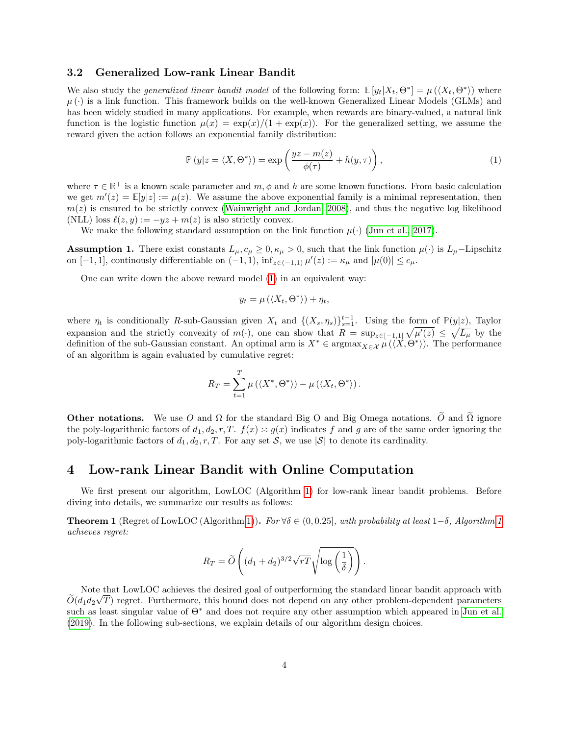#### 3.2 Generalized Low-rank Linear Bandit

We also study the *generalized linear bandit model* of the following form:  $\mathbb{E}[y_t|X_t, \Theta^*] = \mu(\langle X_t, \Theta^* \rangle)$  where  $\mu$  ( $\cdot$ ) is a link function. This framework builds on the well-known Generalized Linear Models (GLMs) and has been widely studied in many applications. For example, when rewards are binary-valued, a natural link function is the logistic function  $\mu(x) = \exp(x)/(1 + \exp(x))$ . For the generalized setting, we assume the reward given the action follows an exponential family distribution:

$$
\mathbb{P}\left(y|z=\langle X,\Theta^*\rangle\right)=\exp\left(\frac{yz-m(z)}{\phi(\tau)}+h(y,\tau)\right),\tag{1}
$$

where  $\tau \in \mathbb{R}^+$  is a known scale parameter and  $m, \phi$  and h are some known functions. From basic calculation we get  $m'(z) = \mathbb{E}[y|z] := \mu(z)$ . We assume the above exponential family is a minimal representation, then  $m(z)$  is ensured to be strictly convex [\(Wainwright and Jordan, 2008\)](#page-12-0), and thus the negative log likelihood (NLL) loss  $\ell(z, y) := -yz + m(z)$  is also strictly convex.

We make the following standard assumption on the link function  $\mu(\cdot)$  [\(Jun et al., 2017\)](#page-11-14).

**Assumption 1.** There exist constants  $L_{\mu}$ ,  $c_{\mu} \geq 0$ ,  $\kappa_{\mu} > 0$ , such that the link function  $\mu(\cdot)$  is  $L_{\mu}$ -Lipschitz on  $[-1, 1]$ , continously differentiable on  $(-1, 1)$ ,  $\inf_{z \in (-1, 1)} \mu'(z) := \kappa_{\mu}$  and  $|\mu(0)| \leq c_{\mu}$ .

One can write down the above reward model [\(1\)](#page-3-0) in an equivalent way:

<span id="page-3-0"></span>
$$
y_t = \mu\left(\langle X_t, \Theta^* \rangle\right) + \eta_t,
$$

where  $\eta_t$  is conditionally R-sub-Gaussian given  $X_t$  and  $\{(X_s, \eta_s)\}_{s=1}^{t-1}$ . Using the form of  $\mathbb{P}(y|z)$ , Taylor expansion and the strictly convexity of  $m(\cdot)$ , one can show that  $R = \sup_{z \in [-1,1]} \sqrt{\mu'(z)} \leq \sqrt{L_{\mu}}$  by the definition of the sub-Gaussian constant. An optimal arm is  $X^* \in \operatorname{argmax}_{X \in \mathcal{X}} \mu(\langle X, \Theta^* \rangle)$ . The performance of an algorithm is again evaluated by cumulative regret:

$$
R_T = \sum_{t=1}^T \mu\left(\langle X^*, \Theta^*\rangle\right) - \mu\left(\langle X_t, \Theta^*\rangle\right).
$$

**Other notations.** We use O and  $\Omega$  for the standard Big O and Big Omega notations.  $\tilde{O}$  and  $\tilde{\Omega}$  ignore the poly-logarithmic factors of  $d_1, d_2, r, T$ .  $f(x) \approx g(x)$  indicates f and g are of the same order ignoring the poly-logarithmic factors of  $d_1, d_2, r, T$ . For any set S, we use  $|S|$  to denote its cardinality.

#### 4 Low-rank Linear Bandit with Online Computation

We first present our algorithm, LowLOC (Algorithm [1\)](#page-4-0) for low-rank linear bandit problems. Before diving into details, we summarize our results as follows:

<span id="page-3-1"></span>**Theorem [1](#page-4-0)** (Regret of LowLOC (Algorithm [1\)](#page-4-0)). For  $\forall \delta \in (0, 0.25]$ , with probability at least  $1-\delta$ , Algorithm 1 achieves regret:

$$
R_T = \widetilde{O}\left((d_1 + d_2)^{3/2}\sqrt{rT}\sqrt{\log\left(\frac{1}{\delta}\right)}\right).
$$

Note that LowLOC achieves the desired goal of outperforming the standard linear bandit approach with  $O(d_1 d_2 \sqrt{T})$  regret. Furthermore, this bound does not depend on any other problem-dependent parameters such as least singular value of Θ<sup>∗</sup> and does not require any other assumption which appeared in [Jun et al.](#page-11-0) [\(2019\)](#page-11-0). In the following sub-sections, we explain details of our algorithm design choices.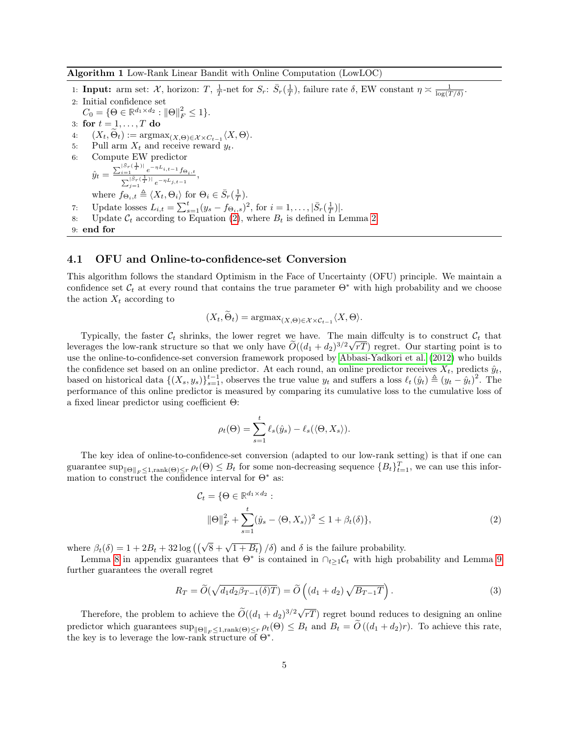<span id="page-4-0"></span>Algorithm 1 Low-Rank Linear Bandit with Online Computation (LowLOC)

1: **Input:** arm set:  $\mathcal{X}$ , horizon:  $T$ ,  $\frac{1}{T}$ -net for  $S_r$ :  $\bar{S}_r(\frac{1}{T})$ , failure rate  $\delta$ , EW constant  $\eta \approx \frac{1}{\log(T/\delta)}$ .

2: Initial confidence set  $C_0 = \{ \Theta \in \mathbb{R}^{d_1 \times d_2} : ||\Theta||_F^2 \le 1 \}.$ 3: for  $t = 1, \ldots, T$  do 4:  $(X_t, \Theta_t) := \operatorname{argmax}_{(X, \Theta) \in \mathcal{X} \times C_{t-1}} \langle X, \Theta \rangle.$ 5: Pull arm  $X_t$  and receive reward  $y_t$ . 6: Compute EW predictor  $\hat{y}_t = \frac{\sum_{i=1}^{|S_r(\frac{1}{T})|} e^{-\eta L_{i,t-1}} f_{\Theta_i,t}}{\sum_{j=1}^{|S_r(\frac{1}{T})|} e^{-\eta L_{j,t-1}}},$ where  $f_{\Theta_i,t} \triangleq \langle X_t, \Theta_i \rangle$  for  $\Theta_i \in \overline{S}_r(\frac{1}{T})$ . 7: Update losses  $L_{i,t} = \sum_{s=1}^{t} (y_s - f_{\Theta_i,s})^2$ , for  $i = 1, ..., |\bar{S}_r(\frac{1}{T})|$ . 8: Update  $C_t$  according to Equation [\(2\)](#page-4-1), where  $B_t$  is defined in Lemma [2.](#page-5-0) 9: end for

#### 4.1 OFU and Online-to-confidence-set Conversion

This algorithm follows the standard Optimism in the Face of Uncertainty (OFU) principle. We maintain a confidence set  $\mathcal{C}_t$  at every round that contains the true parameter  $\Theta^*$  with high probability and we choose the action  $X_t$  according to

$$
(X_t, \Theta_t) = \operatorname{argmax}_{(X, \Theta) \in \mathcal{X} \times \mathcal{C}_{t-1}} \langle X, \Theta \rangle.
$$

Typically, the faster  $C_t$  shrinks, the lower regret we have. The main diffculty is to construct  $C_t$  that leverages the low-rank structure so that we only have  $O((d_1 + d_2)^{3/2}\sqrt{dT})$  regret. Our starting point is to use the online-to-confidence-set conversion framework proposed by [Abbasi-Yadkori et al.](#page-10-0) [\(2012\)](#page-10-0) who builds the confidence set based on an online predictor. At each round, an online predictor receives  $X_t$ , predicts  $\hat{y}_t$ , based on historical data  $\{(X_s, y_s)\}_{s=1}^{t-1}$ , observes the true value  $y_t$  and suffers a loss  $\ell_t(\hat{y}_t) \triangleq (y_t - \hat{y}_t)^2$ . The performance of this online predictor is measured by comparing its cumulative loss to the cumulative loss of a fixed linear predictor using coefficient Θ:

<span id="page-4-1"></span>
$$
\rho_t(\Theta) = \sum_{s=1}^t \ell_s(\hat{y}_s) - \ell_s(\langle \Theta, X_s \rangle).
$$

The key idea of online-to-confidence-set conversion (adapted to our low-rank setting) is that if one can guarantee  $\sup_{\|\Theta\|_F\leq 1,\text{rank}(\Theta)\leq r} \rho_t(\Theta) \leq B_t$  for some non-decreasing sequence  $\{B_t\}_{t=1}^T$ , we can use this information to construct the confidence interval for  $\Theta^*$  as:

<span id="page-4-2"></span>
$$
\mathcal{C}_t = \{ \Theta \in \mathbb{R}^{d_1 \times d_2} : \newline ||\Theta||_F^2 + \sum_{s=1}^t (\hat{y}_s - \langle \Theta, X_s \rangle)^2 \le 1 + \beta_t(\delta) \},
$$
\n(2)

where  $\beta_t(\delta) = 1 + 2B_t + 32 \log \left( \left( \sqrt{8} + \sqrt{1 + B_t} \right) / \delta \right)$  and  $\delta$  is the failure probability.

Lemma [8](#page-13-0) in appendix guarantees that  $\Theta^*$  is contained in  $\bigcap_{t\geq 1} C_t$  with high probability and Lemma [9](#page-14-0) further guarantees the overall regret

$$
R_T = \widetilde{O}(\sqrt{d_1 d_2 \beta_{T-1}(\delta) T}) = \widetilde{O}\left((d_1 + d_2)\sqrt{B_{T-1} T}\right).
$$
\n(3)

Therefore, the problem to achieve the  $\widetilde{O}((d_1 + d_2)^{3/2}\sqrt{d_1 + d_2})$ rT) regret bound reduces to designing an online predictor which guarantees  $\sup_{\|\Theta\|_F\leq 1, \text{rank}(\Theta)\leq r} \rho_t(\Theta) \leq B_t$  and  $B_t = \tilde{O}((d_1 + d_2)r)$ . To achieve this rate, the key is to leverage the low-rank structure of  $\Theta^*$ .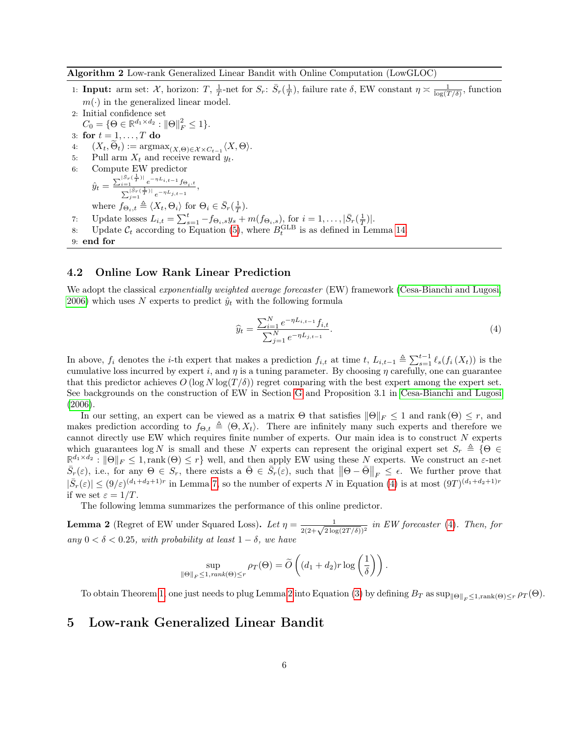<span id="page-5-2"></span>Algorithm 2 Low-rank Generalized Linear Bandit with Online Computation (LowGLOC)

- 1: **Input:** arm set:  $\mathcal{X}$ , horizon:  $T$ ,  $\frac{1}{T}$ -net for  $S_r$ :  $\bar{S}_r(\frac{1}{T})$ , failure rate  $\delta$ , EW constant  $\eta \approx \frac{1}{\log(T/\delta)}$ , function  $m(\cdot)$  in the generalized linear model.
- 2: Initial confidence set  $C_0 = \{ \Theta \in \mathbb{R}^{d_1 \times d_2} : ||\Theta||_F^2 \le 1 \}.$ 3: for  $t = 1, \ldots, T$  do 4:  $(X_t, \Theta_t) := \operatorname{argmax}_{(X, \Theta) \in \mathcal{X} \times C_{t-1}} \langle X, \Theta \rangle.$ 5: Pull arm  $X_t$  and receive reward  $y_t$ . 6: Compute EW predictor  $\hat{y}_t = \frac{\sum_{i=1}^{|\bar{S}_r(\frac{1}{T})|} e^{-\eta L_{i,t-1}} f_{\Theta_i,t}}{\sum_{j=1}^{|\bar{S}_r(\frac{1}{T})|} e^{-\eta L_{j,t-1}}},$ where  $f_{\Theta_i,t} \triangleq \langle X_t, \Theta_i \rangle$  for  $\Theta_i \in \overline{S}_r(\frac{1}{T})$ . 7: Update losses  $L_{i,t} = \sum_{s=1}^{t} -f_{\Theta_i,s}y_s + m(f_{\Theta_i,s})$ , for  $i = 1,\ldots,|\bar{S}_r(\frac{1}{T})|$ . 8: Update  $C_t$  according to Equation [\(5\)](#page-6-0), where  $B_t^{\text{GLB}}$  is as defined in Lemma [14.](#page-17-0) 9: end for

#### 4.2 Online Low Rank Linear Prediction

We adopt the classical exponentially weighted average forecaster (EW) framework [\(Cesa-Bianchi and Lugosi,](#page-11-15) [2006\)](#page-11-15) which uses N experts to predict  $\hat{y}_t$  with the following formula

<span id="page-5-1"></span>
$$
\widehat{y}_t = \frac{\sum_{i=1}^N e^{-\eta L_{i,t-1}} f_{i,t}}{\sum_{j=1}^N e^{-\eta L_{j,t-1}}}.
$$
\n(4)

In above,  $f_i$  denotes the *i*-th expert that makes a prediction  $f_{i,t}$  at time  $t$ ,  $L_{i,t-1} \triangleq \sum_{s=1}^{t-1} \ell_s(f_i(X_t))$  is the cumulative loss incurred by expert i, and  $\eta$  is a tuning parameter. By choosing  $\eta$  carefully, one can guarantee that this predictor achieves  $O(\log N \log(T/\delta))$  regret comparing with the best expert among the expert set. See backgrounds on the construction of EW in Section [G](#page-25-0) and Proposition 3.1 in [Cesa-Bianchi and Lugosi](#page-11-15)  $(2006).$  $(2006).$ 

In our setting, an expert can be viewed as a matrix  $\Theta$  that satisfies  $\|\Theta\|_F \leq 1$  and rank  $(\Theta) \leq r$ , and makes prediction according to  $f_{\Theta,t} \triangleq \langle \Theta, X_t \rangle$ . There are infinitely many such experts and therefore we cannot directly use EW which requires finite number of experts. Our main idea is to construct N experts which guarantees log N is small and these N experts can represent the original expert set  $S_r \triangleq \{ \Theta \in$  $\mathbb{R}^{d_1 \times d_2}: ||\Theta||_F \leq 1$ , rank  $(\Theta) \leq r$  well, and then apply EW using these N experts. We construct an  $\varepsilon$ -net  $\bar{S}_r(\varepsilon)$ , i.e., for any  $\Theta \in S_r$ , there exists a  $\bar{\Theta} \in \bar{S}_r(\varepsilon)$ , such that  $\|\Theta - \bar{\Theta}\|_F \leq \epsilon$ . We further prove that  $|\bar{S}_r(\varepsilon)| \le (9/\varepsilon)^{(d_1+d_2+1)r}$  in Lemma [7,](#page-13-1) so the number of experts N in Equation [\(4\)](#page-5-1) is at most  $(9T)^{(d_1+d_2+1)r}$ if we set  $\varepsilon = 1/T$ .

The following lemma summarizes the performance of this online predictor.

<span id="page-5-0"></span>**Lemma 2** (Regret of EW under Squared Loss). Let  $\eta = \frac{1}{2(2+\sqrt{2\log(2T/\delta)})^2}$  in EW forecaster [\(4\)](#page-5-1). Then, for any  $0 < \delta < 0.25$ , with probability at least  $1 - \delta$ , we have

$$
\sup_{\|\Theta\|_F \le 1, rank(\Theta) \le r} \rho_T(\Theta) = \widetilde{O}\left((d_1 + d_2)r \log\left(\frac{1}{\delta}\right)\right).
$$

To obtain Theorem [1,](#page-3-1) one just needs to plug Lemma [2](#page-5-0) into Equation [\(3\)](#page-4-2) by defining  $B_T$  as  $\sup_{\|\Theta\|_F \leq 1, \text{rank}(\Theta)\leq r} \rho_T(\Theta)$ .

### 5 Low-rank Generalized Linear Bandit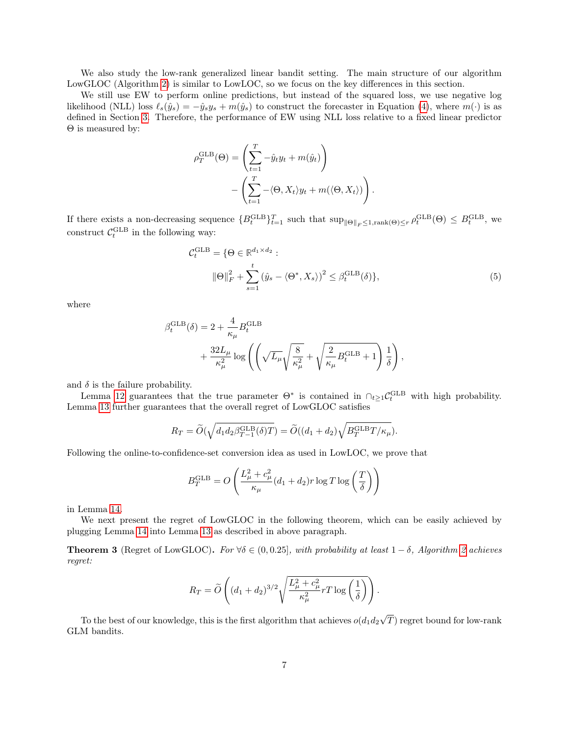We also study the low-rank generalized linear bandit setting. The main structure of our algorithm LowGLOC (Algorithm [2\)](#page-5-2) is similar to LowLOC, so we focus on the key differences in this section.

We still use EW to perform online predictions, but instead of the squared loss, we use negative log likelihood (NLL) loss  $\ell_s(\hat{y}_s) = -\hat{y}_s y_s + m(\hat{y}_s)$  to construct the forecaster in Equation [\(4\)](#page-5-1), where  $m(\cdot)$  is as defined in Section [3.](#page-2-0) Therefore, the performance of EW using NLL loss relative to a fixed linear predictor Θ is measured by:

$$
\rho_T^{\text{GLB}}(\Theta) = \left(\sum_{t=1}^T -\hat{y}_t y_t + m(\hat{y}_t)\right) - \left(\sum_{t=1}^T -\langle \Theta, X_t \rangle y_t + m(\langle \Theta, X_t \rangle) \right).
$$

If there exists a non-decreasing sequence  ${B_t^{\text{GLB}}}_{t=1}^T$  such that  $\sup_{\|\Theta\|_F \leq 1, \text{rank}(\Theta) \leq r} \rho_t^{\text{GLB}}(\Theta) \leq B_t^{\text{GLB}}$ , we construct  $C_t^{\text{GLB}}$  in the following way:

<span id="page-6-0"></span>
$$
\mathcal{C}_t^{\text{GLB}} = \{ \Theta \in \mathbb{R}^{d_1 \times d_2} : \|\Theta\|_F^2 + \sum_{s=1}^t (\hat{y}_s - \langle \Theta^*, X_s \rangle)^2 \le \beta_t^{\text{GLB}}(\delta) \},
$$
\n(5)

where

$$
\beta_t^{\text{GLB}}(\delta) = 2 + \frac{4}{\kappa_{\mu}} B_t^{\text{GLB}} + \frac{32L_{\mu}}{\kappa_{\mu}^2} \log \left( \left( \sqrt{L_{\mu}} \sqrt{\frac{8}{\kappa_{\mu}^2}} + \sqrt{\frac{2}{\kappa_{\mu}}} B_t^{\text{GLB}} + 1 \right) \frac{1}{\delta} \right),
$$

and  $\delta$  is the failure probability.

Lemma [12](#page-15-0) guarantees that the true parameter  $\Theta^*$  is contained in  $\bigcap_{t\geq 1} C_t^{\text{GLB}}$  with high probability. Lemma [13](#page-16-0) further guarantees that the overall regret of LowGLOC satisfies

$$
R_T = \widetilde{O}(\sqrt{d_1 d_2 \beta_{T-1}^{\text{GLB}}(\delta) T}) = \widetilde{O}((d_1 + d_2) \sqrt{B_T^{\text{GLB}} T/\kappa_\mu}).
$$

Following the online-to-confidence-set conversion idea as used in LowLOC, we prove that

$$
B_T^{\text{GLB}} = O\left(\frac{L_{\mu}^2 + c_{\mu}^2}{\kappa_{\mu}}(d_1 + d_2)r \log T \log\left(\frac{T}{\delta}\right)\right)
$$

in Lemma [14.](#page-17-0)

We next present the regret of LowGLOC in the following theorem, which can be easily achieved by plugging Lemma [14](#page-17-0) into Lemma [13](#page-16-0) as described in above paragraph.

<span id="page-6-1"></span>**Theorem 3** (Regret of LowGLOC). For  $\forall \delta \in (0, 0.25]$ , with probability at least  $1 - \delta$ , Algorithm [2](#page-5-2) achieves regret:

$$
R_T = \widetilde{O}\left((d_1+d_2)^{3/2}\sqrt{\frac{L_\mu^2 + c_\mu^2}{\kappa_\mu^2}rT\log\left(\frac{1}{\delta}\right)}\right).
$$

To the best of our knowledge, this is the first algorithm that achieves  $o(d_1d_2)$ √ T) regret bound for low-rank GLM bandits.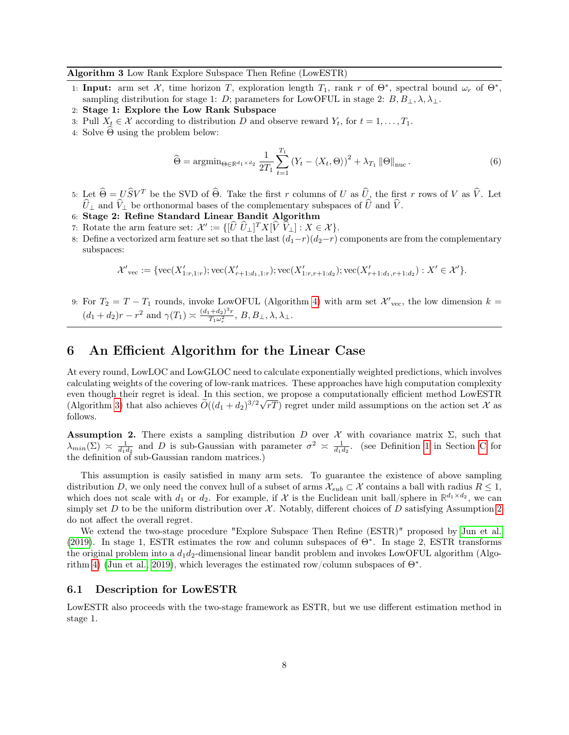#### <span id="page-7-1"></span>Algorithm 3 Low Rank Explore Subspace Then Refine (LowESTR)

- 1: Input: arm set  $\mathcal{X}$ , time horizon T, exploration length  $T_1$ , rank r of  $\Theta^*$ , spectral bound  $\omega_r$  of  $\Theta^*$ , sampling distribution for stage 1: D; parameters for LowOFUL in stage 2:  $B, B_{\perp}, \lambda, \lambda_{\perp}$ .
- 2: Stage 1: Explore the Low Rank Subspace
- 3: Pull  $X_t \in \mathcal{X}$  according to distribution D and observe reward  $Y_t$ , for  $t = 1, \ldots, T_1$ .
- 4: Solve  $\Theta$  using the problem below:

<span id="page-7-3"></span>
$$
\widehat{\Theta} = \operatorname{argmin}_{\Theta \in \mathbb{R}^{d_1 \times d_2}} \frac{1}{2T_1} \sum_{t=1}^{T_1} \left( Y_t - \langle X_t, \Theta \rangle \right)^2 + \lambda_{T_1} \left\| \Theta \right\|_{\text{nuc}}.
$$
\n(6)

- 5: Let  $\widehat{\Theta} = U \widehat{S} V^T$  be the SVD of  $\widehat{\Theta}$ . Take the first r columns of U as  $\widehat{U}_2$ , the first r rows of V as  $\widehat{V}$ . Let  $\hat{U}_\perp$  and  $\hat{V}_\perp$  be orthonormal bases of the complementary subspaces of  $\hat{U}$  and  $\hat{V}$ .
- 6: Stage 2: Refine Standard Linear Bandit Algorithm
- 7: Rotate the arm feature set:  $\mathcal{X}' := \{[\hat{U} \ \hat{U}_\perp]^T X [\hat{V} \ \hat{V}_\perp] : X \in \mathcal{X}\}.$
- 8: Define a vectorized arm feature set so that the last  $(d_1-r)(d_2-r)$  components are from the complementary subspaces:

$$
{\mathcal X'}_{\mathrm{vec}}:=\{\mathrm{vec}(X'_{1:r,1:r});\mathrm{vec}(X'_{r+1:d_1,1:r});\mathrm{vec}(X'_{1:r,r+1:d_2});\mathrm{vec}(X'_{r+1:d_1,r+1:d_2}):X'\in{\mathcal X}'\}.
$$

9: For  $T_2 = T - T_1$  rounds, invoke LowOFUL (Algorithm [4\)](#page-8-0) with arm set  $\mathcal{X}'_{\text{vec}}$ , the low dimension  $k =$  $(d_1 + d_2)r - r^2$  and  $\gamma(T_1) \asymp \frac{(d_1 + d_2)^3 r}{T_1 \omega_r^2}$ ,  $B, B_\perp, \lambda, \lambda_\perp$ .

### <span id="page-7-0"></span>6 An Efficient Algorithm for the Linear Case

At every round, LowLOC and LowGLOC need to calculate exponentially weighted predictions, which involves calculating weights of the covering of low-rank matrices. These approaches have high computation complexity even though their regret is ideal. In this section, we propose a computationally efficient method LowESTR (Algorithm [3\)](#page-7-1) that also achieves  $\widetilde{O}((d_1 + d_2)^{3/2}\sqrt{rT})$  regret under mild assumptions on the action set X as follows.

<span id="page-7-2"></span>**Assumption 2.** There exists a sampling distribution D over  $\mathcal{X}$  with covariance matrix  $\Sigma$ , such that  $\lambda_{min}(\Sigma) \approx \frac{1}{d_1d_2}$  and D is sub-Gaussian with parameter  $\sigma^2 \approx \frac{1}{d_1d_2}$ . (see Definition [1](#page-18-0) in Section [C](#page-18-1) for the definition of sub-Gaussian random matrices.)

This assumption is easily satisfied in many arm sets. To guarantee the existence of above sampling distribution D, we only need the convex hull of a subset of arms  $\mathcal{X}_{sub} \subset \mathcal{X}$  contains a ball with radius  $R \leq 1$ , which does not scale with  $d_1$  or  $d_2$ . For example, if X is the Euclidean unit ball/sphere in  $\mathbb{R}^{d_1 \times d_2}$ , we can simply set D to be the uniform distribution over  $\mathcal{X}$ . Notably, different choices of D satisfying Assumption [2](#page-7-2) do not affect the overall regret.

We extend the two-stage procedure "Explore Subspace Then Refine (ESTR)" proposed by [Jun et al.](#page-11-0) [\(2019\)](#page-11-0). In stage 1, ESTR estimates the row and column subspaces of Θ<sup>∗</sup> . In stage 2, ESTR transforms the original problem into a  $d_1d_2$ -dimensional linear bandit problem and invokes LowOFUL algorithm (Algo-rithm [4\)](#page-8-0) [\(Jun et al., 2019\)](#page-11-0), which leverages the estimated row/column subspaces of  $\Theta^*$ .

#### 6.1 Description for LowESTR

LowESTR also proceeds with the two-stage framework as ESTR, but we use different estimation method in stage 1.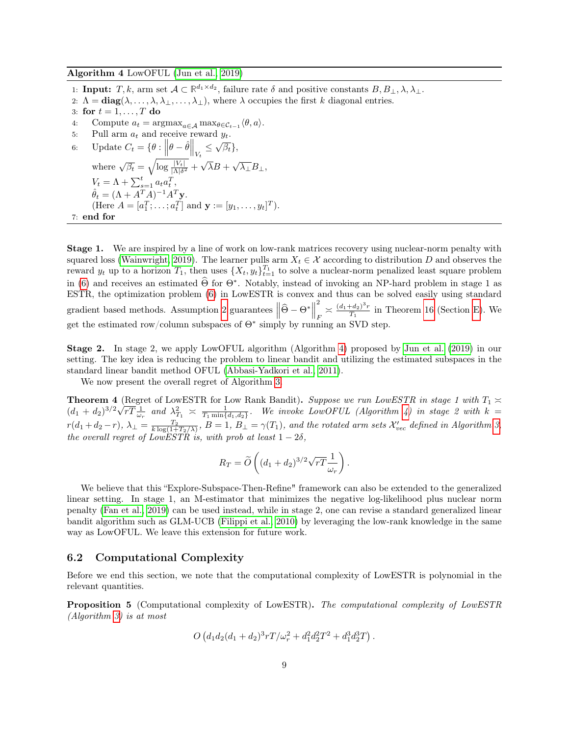<span id="page-8-0"></span>Algorithm 4 LowOFUL [\(Jun et al., 2019\)](#page-11-0)

1: **Input:**  $T, k$ , arm set  $A \subset \mathbb{R}^{d_1 \times d_2}$ , failure rate  $\delta$  and positive constants  $B, B_{\perp}, \lambda, \lambda_{\perp}$ .

2:  $\Lambda = \text{diag}(\lambda, \ldots, \lambda, \lambda_{\perp}, \ldots, \lambda_{\perp}),$  where  $\lambda$  occupies the first k diagonal entries.

3: for  $t = 1, \ldots, T$  do

- 4: Compute  $a_t = \operatorname{argmax}_{a \in \mathcal{A}} \operatorname{max}_{\theta \in \mathcal{C}_{t-1}} \langle \theta, a \rangle$ .
- 5: Pull arm  $a_t$  and receive reward  $y_t$ . 6: Update  $C_t = \{ \theta : ||\theta - \hat{\theta}||_{V_t} \leq \sqrt{\beta_t} \},$ where  $\sqrt{\beta_t} = \sqrt{\log \frac{|V_t|}{|\Lambda|\delta^2}} +$  $^t$  $\overline{\lambda}B + \sqrt{\lambda_{\perp}}B_{\perp},$  $V_t = \Lambda + \sum_{s=1}^t a_t a_t^T,$  $\hat{\theta}_t = (\Lambda + A^T A)^{-1} A^T \mathbf{y}.$ (Here  $A = [a_1^T; \dots; a_t^T]$  and  $\mathbf{y} := [y_1, \dots, y_t]^T$ ). 7: end for

Stage 1. We are inspired by a line of work on low-rank matrices recovery using nuclear-norm penalty with squared loss [\(Wainwright, 2019\)](#page-12-1). The learner pulls arm  $X_t \in \mathcal{X}$  according to distribution D and observes the reward  $y_t$  up to a horizon  $T_1$ , then uses  $\{X_t, y_t\}_{t=1}^{T_1}$  to solve a nuclear-norm penalized least square problem in [\(6\)](#page-7-3) and receives an estimated  $\widehat{\Theta}$  for  $\Theta^*$ . Notably, instead of invoking an NP-hard problem in stage 1 as ESTR, the optimization problem [\(6\)](#page-7-3) in LowESTR is convex and thus can be solved easily using standard gradient based methods. Assumption [2](#page-7-2) guarantees  $\left\|\widehat{\Theta} - \Theta^*\right\|$ 2  $\frac{d}{F} \approx \frac{(d_1+d_2)^3r}{T_1}$  $\frac{H(42)^{r}r}{T_1}$  in Theorem [16](#page-19-0) (Section [E\)](#page-22-0). We get the estimated row/column subspaces of  $\Theta^*$  simply by running an SVD step.

Stage 2. In stage 2, we apply LowOFUL algorithm (Algorithm [4\)](#page-8-0) proposed by [Jun et al.](#page-11-0) [\(2019\)](#page-11-0) in our setting. The key idea is reducing the problem to linear bandit and utilizing the estimated subspaces in the standard linear bandit method OFUL [\(Abbasi-Yadkori et al., 2011\)](#page-10-1).

We now present the overall regret of Algorithm [3.](#page-7-1)

<span id="page-8-2"></span>**Theorem 4** (Regret of LowESTR for Low Rank Bandit). Suppose we run LowESTR in stage 1 with  $T_1 \approx$  $(d_1+d_2)^{3/2}\sqrt{rT} \frac{1}{\omega_r}$  and  $\lambda_{T_1}^2 \asymp \frac{1}{T_1 \min\{d_1,d_2\}}$ . We invoke LowOFUL (Algorithm [4\)](#page-8-0) in stage 2 with  $k=$  $r(d_1+d_2-r), \ \lambda_\perp=\frac{T_2}{k\log(1+T_2/\lambda)},\ B=1,\ B_\perp=\gamma(T_1),\ and\ the\ rotated\ arm\ sets\ \mathcal{X}_{vec}'$  defined in Algorithm [3,](#page-7-1) the overall regret of LowESTR is, with prob at least  $1-2\delta$ ,

$$
R_T = \widetilde{O}\left((d_1+d_2)^{3/2}\sqrt{rT}\frac{1}{\omega_r}\right).
$$

We believe that this "Explore-Subspace-Then-Refine" framework can also be extended to the generalized linear setting. In stage 1, an M-estimator that minimizes the negative log-likelihood plus nuclear norm penalty [\(Fan et al., 2019\)](#page-11-16) can be used instead, while in stage 2, one can revise a standard generalized linear bandit algorithm such as GLM-UCB [\(Filippi et al., 2010\)](#page-11-6) by leveraging the low-rank knowledge in the same way as LowOFUL. We leave this extension for future work.

#### 6.2 Computational Complexity

Before we end this section, we note that the computational complexity of LowESTR is polynomial in the relevant quantities.

<span id="page-8-1"></span>Proposition 5 (Computational complexity of LowESTR). The computational complexity of LowESTR (Algorithm [3\)](#page-7-1) is at most

$$
O\left(d_1d_2(d_1+d_2)^3rT/\omega_r^2+d_1^2d_2^2T^2+d_1^3d_2^3T\right).
$$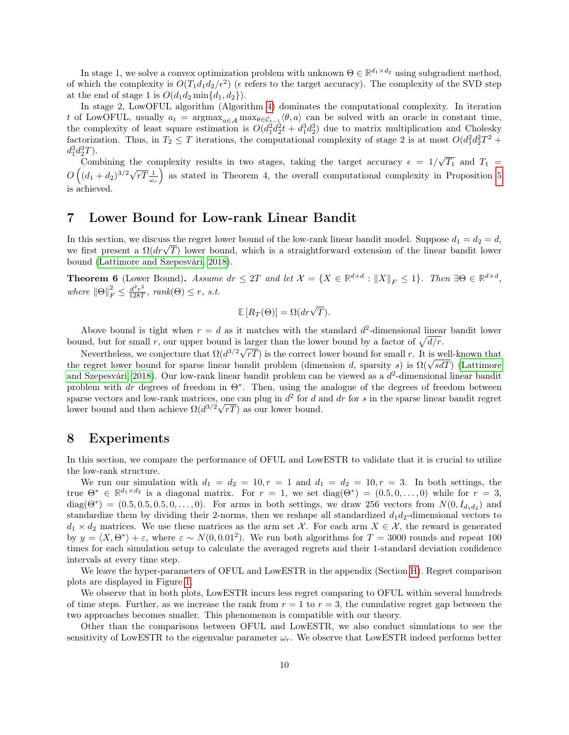In stage 1, we solve a convex optimization problem with unknown  $\Theta \in \mathbb{R}^{d_1 \times d_2}$  using subgradient method, of which the complexity is  $O(T_1d_1d_2/\epsilon^2)$  ( $\epsilon$  refers to the target accuracy). The complexity of the SVD step at the end of stage 1 is  $O(d_1d_2\min\{d_1, d_2\}).$ 

In stage 2, LowOFUL algorithm (Algorithm [4\)](#page-8-0) dominates the computational complexity. In iteration t of LowOFUL, usually  $a_t = \text{argmax}_{a \in \mathcal{A}} \max_{\theta \in \mathcal{C}_{t-1}} \langle \theta, a \rangle$  can be solved with an oracle in constant time, the complexity of least square estimation is  $O(d_1^2 d_2^2 t + d_1^3 d_2^3)$  due to matrix multiplication and Cholesky factorization. Thus, in  $T_2 \leq T$  iterations, the computational complexity of stage 2 is at most  $O(d_1^2d_2^2T^2 +$  $d_1^3 d_2^3 T$ .

Combining the complexity results in two stages, taking the target accuracy  $\epsilon = 1/\sqrt{T_1}$  and  $T_1 =$ Combining the complexity results in two stages, taking the target accuracy  $e = 1/\sqrt{11}$  and  $T_1 = O((d_1 + d_2)^{3/2}\sqrt{rT} \frac{1}{\omega_r})$  as stated in Theorem 4, the overall computational complexity in Proposition [5](#page-8-1) is achieved.

### <span id="page-9-0"></span>7 Lower Bound for Low-rank Linear Bandit

In this section, we discuss the regret lower bound of the low-rank linear bandit model. Suppose  $d_1 = d_2 = d$ , In this section, we discuss the regret lower bound of the low-rank linear bandit model. Suppose  $a_1 = a_2 = a$ , we first present a  $\Omega(dr\sqrt{T})$  lower bound, which is a straightforward extension of the linear bandit lower bound [\(Lattimore and Szepesvári, 2018\)](#page-11-17).

<span id="page-9-1"></span>**Theorem 6** (Lower Bound). Assume  $dr \leq 2T$  and let  $\mathcal{X} = \{X \in \mathbb{R}^{d \times d} : ||X||_F \leq 1\}$ . Then  $\exists \Theta \in \mathbb{R}^{d \times d}$ , where  $\|\Theta\|_F^2 \leq \frac{d^2r^2}{128T}$  $\frac{d^2r^2}{128T}$ , rank $(\Theta) \leq r$ , s.t.

$$
\mathbb{E}[R_T(\Theta)] = \Omega(dr\sqrt{T}).
$$

Above bound is tight when  $r = d$  as it matches with the standard  $d^2$ -dimensional linear bandit lower bound, but for small r, our upper bound is larger than the lower bound by a factor of  $\sqrt{d/r}$ .

Nevertheless, we conjecture that  $\Omega(d^{3/2}\sqrt{rT})$  is the correct lower bound for small r. It is well-known that Nevertheless, we conjecture that  $\Omega(d^{\sigma/2} \vee rT)$  is the correct lower bound for small r. It is well-known that the regret lower bound for sparse linear bandit problem (dimension d, sparsity s) is  $\Omega(\sqrt{sdT})$  [\(Lattimore](#page-11-17) [and Szepesvári, 2018\)](#page-11-17). Our low-rank linear bandit problem can be viewed as a  $d^2$ -dimensional linear bandit problem with dr degrees of freedom in  $\Theta^*$ . Then, using the analogue of the degrees of freedom between sparse vectors and low-rank matrices, one can plug in  $d^2$  for d and dr for s in the sparse linear bandit regret lower bound and then achieve  $\Omega(d^{3/2}\sqrt{rT})$  as our lower bound.

### <span id="page-9-2"></span>8 Experiments

In this section, we compare the performance of OFUL and LowESTR to validate that it is crucial to utilize the low-rank structure.

We run our simulation with  $d_1 = d_2 = 10, r = 1$  and  $d_1 = d_2 = 10, r = 3$ . In both settings, the true  $\Theta^* \in \mathbb{R}^{d_1 \times d_2}$  is a diagonal matrix. For  $r = 1$ , we set diag $(\Theta^*) = (0.5, 0, \ldots, 0)$  while for  $r = 3$ ,  $diag(\Theta^*) = (0.5, 0.5, 0.5, 0, \ldots, 0)$ . For arms in both settings, we draw 256 vectors from  $N(0, I_{d_1d_2})$  and standardize them by dividing their 2-norms, then we reshape all standardized  $d_1d_2$ -dimensional vectors to  $d_1 \times d_2$  matrices. We use these matrices as the arm set X. For each arm  $X \in \mathcal{X}$ , the reward is generated by  $y = \langle X, \Theta^* \rangle + \varepsilon$ , where  $\varepsilon \sim N(0, 0.01^2)$ . We run both algorithms for  $T = 3000$  rounds and repeat 100 times for each simulation setup to calculate the averaged regrets and their 1-standard deviation confidence intervals at every time step.

We leave the hyper-parameters of OFUL and LowESTR in the appendix (Section [H\)](#page-26-0). Regret comparison plots are displayed in Figure [1.](#page-10-3)

We observe that in both plots, LowESTR incurs less regret comparing to OFUL within several hundreds of time steps. Further, as we increase the rank from  $r = 1$  to  $r = 3$ , the cumulative regret gap between the two approaches becomes smaller. This phenomenon is compatible with our theory.

Other than the comparisons between OFUL and LowESTR, we also conduct simulations to see the sensitivity of LowESTR to the eigenvalue parameter  $\omega_r$ . We observe that LowESTR indeed performs better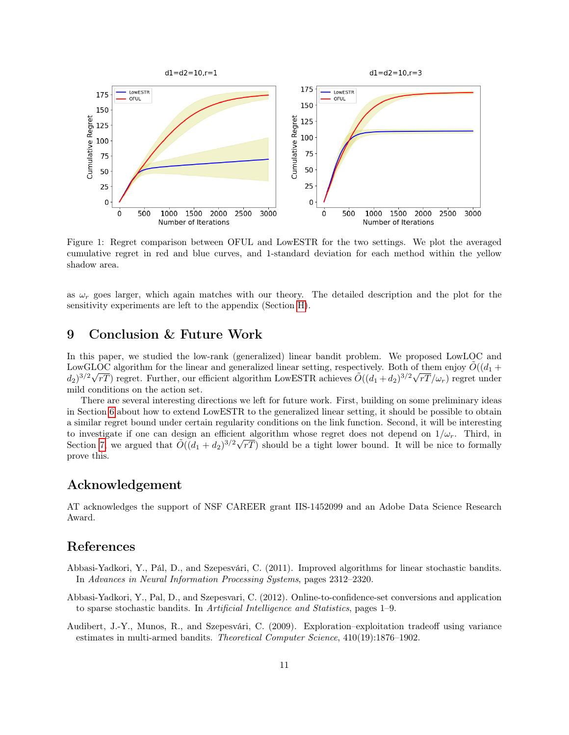<span id="page-10-3"></span>

Figure 1: Regret comparison between OFUL and LowESTR for the two settings. We plot the averaged cumulative regret in red and blue curves, and 1-standard deviation for each method within the yellow shadow area.

as  $\omega_r$  goes larger, which again matches with our theory. The detailed description and the plot for the sensitivity experiments are left to the appendix (Section [H\)](#page-26-0).

### 9 Conclusion & Future Work

In this paper, we studied the low-rank (generalized) linear bandit problem. We proposed LowLOC and LowGLOC algorithm for the linear and generalized linear setting, respectively. Both of them enjoy  $\tilde{O}((d_1 +$  $(d_2)^{3/2}\sqrt{rT}$ ) regret. Further, our efficient algorithm LowESTR achieves  $\tilde{O}((d_1+d_2)^{3/2}\sqrt{rT}/\omega_r)$  regret under mild conditions on the action set.

There are several interesting directions we left for future work. First, building on some preliminary ideas in Section [6](#page-7-0) about how to extend LowESTR to the generalized linear setting, it should be possible to obtain a similar regret bound under certain regularity conditions on the link function. Second, it will be interesting to investigate if one can design an efficient algorithm whose regret does not depend on  $1/\omega_r$ . Third, in Section [7,](#page-9-0) we argued that  $\tilde{O}((d_1 + d_2)^{3/2}\sqrt{rT})$  should be a tight lower bound. It will be nice to formally prove this.

### Acknowledgement

AT acknowledges the support of NSF CAREER grant IIS-1452099 and an Adobe Data Science Research Award.

### References

- <span id="page-10-1"></span>Abbasi-Yadkori, Y., Pál, D., and Szepesvári, C. (2011). Improved algorithms for linear stochastic bandits. In Advances in Neural Information Processing Systems, pages 2312–2320.
- <span id="page-10-0"></span>Abbasi-Yadkori, Y., Pal, D., and Szepesvari, C. (2012). Online-to-confidence-set conversions and application to sparse stochastic bandits. In Artificial Intelligence and Statistics, pages 1–9.
- <span id="page-10-2"></span>Audibert, J.-Y., Munos, R., and Szepesvári, C. (2009). Exploration–exploitation tradeoff using variance estimates in multi-armed bandits. Theoretical Computer Science, 410(19):1876–1902.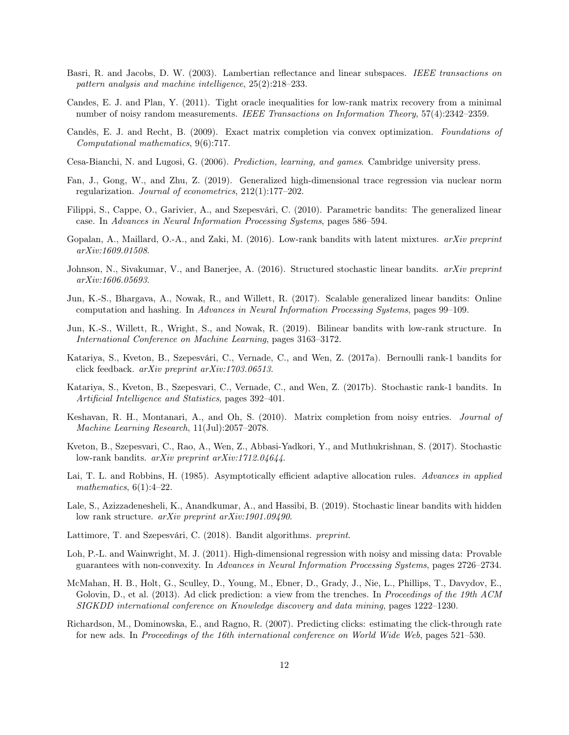- <span id="page-11-2"></span>Basri, R. and Jacobs, D. W. (2003). Lambertian reflectance and linear subspaces. IEEE transactions on pattern analysis and machine intelligence, 25(2):218–233.
- <span id="page-11-18"></span>Candes, E. J. and Plan, Y. (2011). Tight oracle inequalities for low-rank matrix recovery from a minimal number of noisy random measurements. IEEE Transactions on Information Theory, 57(4):2342–2359.
- <span id="page-11-1"></span>Candès, E. J. and Recht, B. (2009). Exact matrix completion via convex optimization. Foundations of Computational mathematics, 9(6):717.
- <span id="page-11-15"></span>Cesa-Bianchi, N. and Lugosi, G. (2006). Prediction, learning, and games. Cambridge university press.
- <span id="page-11-16"></span>Fan, J., Gong, W., and Zhu, Z. (2019). Generalized high-dimensional trace regression via nuclear norm regularization. Journal of econometrics, 212(1):177–202.
- <span id="page-11-6"></span>Filippi, S., Cappe, O., Garivier, A., and Szepesvári, C. (2010). Parametric bandits: The generalized linear case. In Advances in Neural Information Processing Systems, pages 586–594.
- <span id="page-11-12"></span>Gopalan, A., Maillard, O.-A., and Zaki, M. (2016). Low-rank bandits with latent mixtures. arXiv preprint arXiv:1609.01508.
- <span id="page-11-11"></span>Johnson, N., Sivakumar, V., and Banerjee, A. (2016). Structured stochastic linear bandits. arXiv preprint arXiv:1606.05693.
- <span id="page-11-14"></span>Jun, K.-S., Bhargava, A., Nowak, R., and Willett, R. (2017). Scalable generalized linear bandits: Online computation and hashing. In Advances in Neural Information Processing Systems, pages 99–109.
- <span id="page-11-0"></span>Jun, K.-S., Willett, R., Wright, S., and Nowak, R. (2019). Bilinear bandits with low-rank structure. In International Conference on Machine Learning, pages 3163–3172.
- <span id="page-11-10"></span>Katariya, S., Kveton, B., Szepesvári, C., Vernade, C., and Wen, Z. (2017a). Bernoulli rank-1 bandits for click feedback. arXiv preprint arXiv:1703.06513.
- <span id="page-11-8"></span>Katariya, S., Kveton, B., Szepesvari, C., Vernade, C., and Wen, Z. (2017b). Stochastic rank-1 bandits. In Artificial Intelligence and Statistics, pages 392–401.
- <span id="page-11-7"></span>Keshavan, R. H., Montanari, A., and Oh, S. (2010). Matrix completion from noisy entries. Journal of Machine Learning Research, 11(Jul):2057–2078.
- <span id="page-11-9"></span>Kveton, B., Szepesvari, C., Rao, A., Wen, Z., Abbasi-Yadkori, Y., and Muthukrishnan, S. (2017). Stochastic low-rank bandits. arXiv preprint arXiv:1712.04644.
- <span id="page-11-3"></span>Lai, T. L. and Robbins, H. (1985). Asymptotically efficient adaptive allocation rules. Advances in applied mathematics,  $6(1):4-22$ .
- <span id="page-11-13"></span>Lale, S., Azizzadenesheli, K., Anandkumar, A., and Hassibi, B. (2019). Stochastic linear bandits with hidden low rank structure. arXiv preprint arXiv:1901.09490.
- <span id="page-11-17"></span>Lattimore, T. and Szepesvári, C. (2018). Bandit algorithms. preprint.
- <span id="page-11-19"></span>Loh, P.-L. and Wainwright, M. J. (2011). High-dimensional regression with noisy and missing data: Provable guarantees with non-convexity. In Advances in Neural Information Processing Systems, pages 2726–2734.
- <span id="page-11-5"></span>McMahan, H. B., Holt, G., Sculley, D., Young, M., Ebner, D., Grady, J., Nie, L., Phillips, T., Davydov, E., Golovin, D., et al. (2013). Ad click prediction: a view from the trenches. In Proceedings of the 19th ACM SIGKDD international conference on Knowledge discovery and data mining, pages 1222–1230.
- <span id="page-11-4"></span>Richardson, M., Dominowska, E., and Ragno, R. (2007). Predicting clicks: estimating the click-through rate for new ads. In Proceedings of the 16th international conference on World Wide Web, pages 521–530.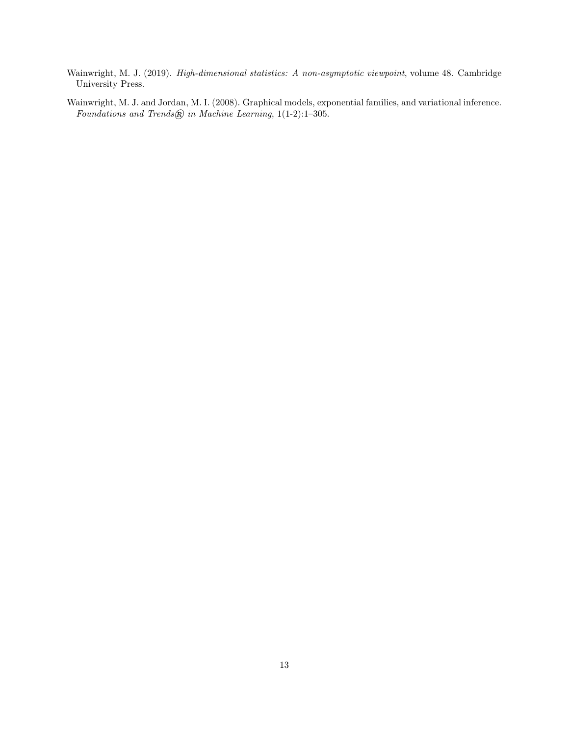<span id="page-12-1"></span>Wainwright, M. J. (2019). High-dimensional statistics: A non-asymptotic viewpoint, volume 48. Cambridge University Press.

<span id="page-12-0"></span>Wainwright, M. J. and Jordan, M. I. (2008). Graphical models, exponential families, and variational inference. Foundations and Trends@ in Machine Learning,  $1(1-2)$ :1-305.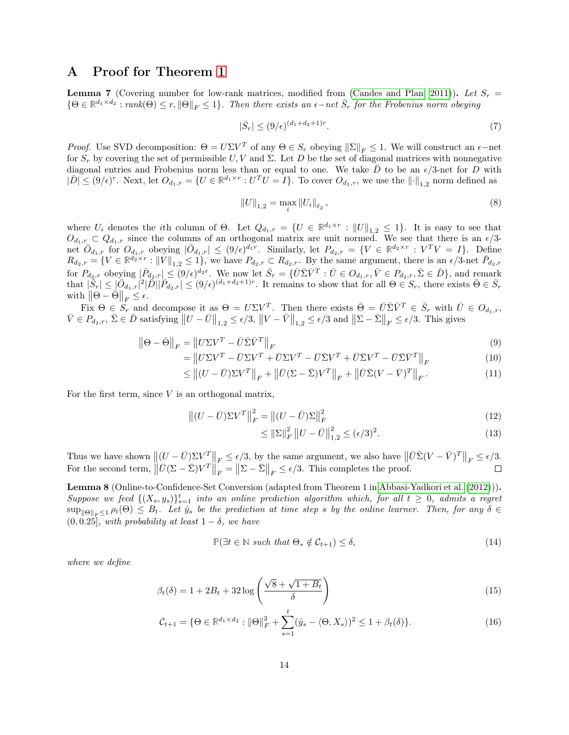### A Proof for Theorem [1](#page-3-1)

<span id="page-13-1"></span>**Lemma 7** (Covering number for low-rank matrices, modified from [\(Candes and Plan, 2011\)](#page-11-18)). Let  $S_r =$  $\{\Theta \in \mathbb{R}^{d_1 \times d_2} : rank(\Theta) \le r, \|\Theta\|_F \le 1\}$ . Then there exists an  $\epsilon$ -net  $\bar{S}_r$  for the Frobenius norm obeying

$$
|\bar{S}_r| \le (9/\epsilon)^{(d_1+d_2+1)r}.\tag{7}
$$

*Proof.* Use SVD decomposition:  $\Theta = U \Sigma V^T$  of any  $\Theta \in S_r$  obeying  $\|\Sigma\|_F \leq 1$ . We will construct an  $\epsilon$ -net for  $S_r$  by covering the set of permissible U, V and  $\Sigma$ . Let D be the set of diagonal matrices with nonnegative diagonal entries and Frobenius norm less than or equal to one. We take  $\overline{D}$  to be an  $\epsilon/3$ -net for  $\overline{D}$  with  $|\overline{D}| \leq (9/\epsilon)^r$ . Next, let  $O_{d_1,r} = \{U \in \mathbb{R}^{d_1 \times r} : U^T U = I\}$ . To cover  $O_{d_1,r}$ , we use the  $\|\cdot\|_{1,2}$  norm defined as

$$
||U||_{1,2} = \max_{i} ||U_i||_{\ell_2},
$$
\n(8)

where  $U_i$  denotes the *i*th column of  $\Theta$ . Let  $Q_{d_1,r} = \{U \in \mathbb{R}^{d_1 \times r} : ||U||_{1,2} \leq 1\}$ . It is easy to see that  $O_{d_1,r} \subset Q_{d_1,r}$  since the columns of an orthogonal matrix are unit normed. We see that there is an  $\epsilon/3$ net  $\overline{O}_{d_1,r}$  for  $O_{d_1,r}$  obeying  $|\overline{O}_{d_1,r}| \leq (9/\epsilon)^{d_1r}$ . Similarly, let  $P_{d_2,r} = \{V \in \mathbb{R}^{d_2 \times r} : V^T V = I\}$ . Define  $R_{d_2,r} = \{ V \in \mathbb{R}^{\bar{d}_2 \times r} : ||\tilde{V}||_{1,2} \leq 1 \},$  we have  $P_{d_2,r} \subset R_{d_2,r}$ . By the same argument, there is an  $\epsilon/3$ -net  $\bar{P}_{d_2,r}$ for  $P_{d_2,r}$  obeying  $|\bar{P}_{d_2,r}| \leq (9/\epsilon)^{d_2r}$ . We now let  $\bar{S}_r = \{\bar{U} \bar{\Sigma} \bar{V}^T : \bar{U} \in O_{d_1,r}, \bar{V} \in P_{d_2,r}, \bar{\Sigma} \in \bar{D}\}\$ , and remark that  $|\bar{S}_r| \leq |\bar{O}_{d_1,r}|^2 |\bar{D}| |\bar{P}_{d_2,r}| \leq (9/\epsilon)^{(d_1+d_2+1)r}$ . It remains to show that for all  $\Theta \in S_r$ , there exists  $\bar{\Theta} \in \bar{S}_r$ with  $\left\|\Theta - \bar{\Theta}\right\|_F \leq \epsilon$ .

Fix  $\Theta \in S_r$  and decompose it as  $\Theta = U\Sigma V^T$ . Then there exists  $\overline{\Theta} = \overline{U} \overline{\Sigma} \overline{V}^T \in \overline{S}_r$  with  $\overline{U} \in O_{d_1,r}$ ,  $\bar{V} \in P_{d_2,r}$ ,  $\bar{\Sigma} \in \bar{D}$  satisfying  $||U - \bar{U}||_{1,2} \leq \epsilon/3$ ,  $||V - \bar{V}||_{1,2} \leq \epsilon/3$  and  $||\Sigma - \bar{\Sigma}||_F \leq \epsilon/3$ . This gives

$$
\left\|\Theta - \bar{\Theta}\right\|_{F} = \left\|U\Sigma V^{T} - \bar{U}\bar{\Sigma}\bar{V}^{T}\right\|_{F}
$$
\n(9)

$$
= \left\| U\Sigma V^T - \bar{U}\Sigma V^T + \bar{U}\Sigma V^T - \bar{U}\bar{\Sigma}V^T + \bar{U}\bar{\Sigma}V^T - \bar{U}\bar{\Sigma}\bar{V}^T \right\|_F \tag{10}
$$

$$
\leq \| (U - \bar{U}) \Sigma V^T \|_F + \| \bar{U} (\Sigma - \bar{\Sigma}) V^T \|_F + \| \bar{U} \bar{\Sigma} (V - \bar{V})^T \|_F. \tag{11}
$$

For the first term, since  $V$  is an orthogonal matrix,

$$
\left\| (U - \bar{U}) \Sigma V^T \right\|_F^2 = \left\| (U - \bar{U}) \Sigma \right\|_F^2 \tag{12}
$$

$$
\leq \|\Sigma\|_F^2 \|U - \bar{U}\|_{1,2}^2 \leq (\epsilon/3)^2. \tag{13}
$$

Thus we have shown  $\|(U - \bar{U})\Sigma V^T\|_F \le \epsilon/3$ , by the same argument, we also have  $\|\bar{U}\bar{\Sigma}(V - \bar{V})^T\|_F \le \epsilon/3$ . For the second term,  $\left\|\bar{U}(\Sigma - \bar{\Sigma})V^T\right\|_F = \left\|\Sigma - \bar{\Sigma}\right\|_F \le \epsilon/3$ . This completes the proof.  $\Box$ 

<span id="page-13-0"></span>Lemma 8 (Online-to-Confidence-Set Conversion (adapted from Theorem 1 in [Abbasi-Yadkori et al.](#page-10-0) [\(2012\)](#page-10-0))). Suppose we feed  $\{(X_s, y_s)\}_{s=1}^t$  into an online prediction algorithm which, for all  $t \geq 0$ , admits a regret  $\sup_{\|\Theta\|_F\leq 1} \rho_t(\Theta) \leq B_t$ . Let  $\hat{y}_s$  be the prediction at time step s by the online learner. Then, for any  $\delta \in$  $(0, 0.25]$ , with probability at least  $1 - \delta$ , we have

$$
\mathbb{P}(\exists t \in \mathbb{N} \ such \ that \ \Theta_* \notin \mathcal{C}_{t+1}) \le \delta,
$$
\n
$$
(14)
$$

where we define

$$
\beta_t(\delta) = 1 + 2B_t + 32\log\left(\frac{\sqrt{8} + \sqrt{1 + B_t}}{\delta}\right)
$$
\n(15)

$$
\mathcal{C}_{t+1} = \{ \Theta \in \mathbb{R}^{d_1 \times d_2} : ||\Theta||_F^2 + \sum_{s=1}^t (\hat{y}_s - \langle \Theta, X_s \rangle)^2 \le 1 + \beta_t(\delta) \}.
$$
 (16)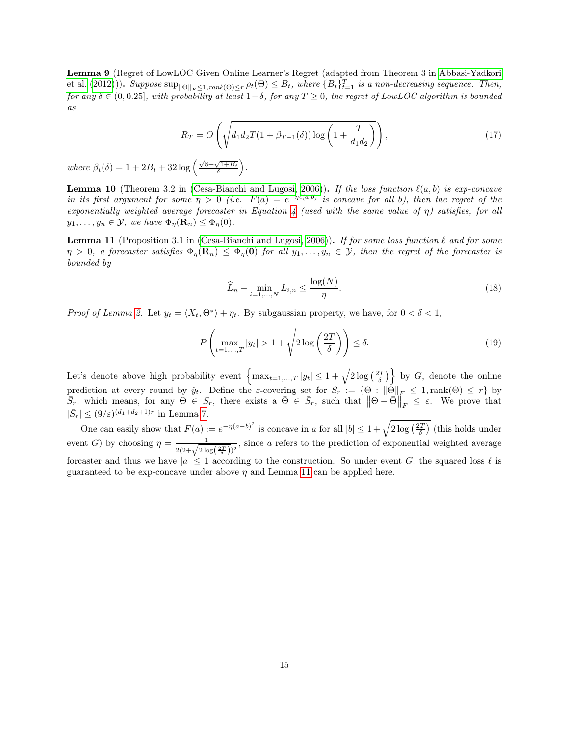<span id="page-14-0"></span>Lemma 9 (Regret of LowLOC Given Online Learner's Regret (adapted from Theorem 3 in [Abbasi-Yadkori](#page-10-0) [et al.](#page-10-0) [\(2012\)](#page-10-0))). Suppose  $\sup_{\|\Theta\|_F\leq 1, rank(\Theta)\leq r} \rho_t(\Theta) \leq B_t$ , where  $\{B_t\}_{t=1}^T$  is a non-decreasing sequence. Then, for any  $\delta \in (0, 0.25]$ , with probability at least  $1-\delta$ , for any  $T \geq 0$ , the regret of LowLOC algorithm is bounded as

$$
R_T = O\left(\sqrt{d_1 d_2 T (1 + \beta_{T-1}(\delta)) \log\left(1 + \frac{T}{d_1 d_2}\right)}\right),\tag{17}
$$

where  $\beta_t(\delta) = 1 + 2B_t + 32 \log \left( \frac{\sqrt{8} + \sqrt{1 + B_t}}{\delta} \right)$ .

<span id="page-14-2"></span>**Lemma 10** (Theorem 3.2 in [\(Cesa-Bianchi and Lugosi, 2006\)](#page-11-15)). If the loss function  $\ell(a, b)$  is exp-concave in its first argument for some  $\eta > 0$  (i.e.  $F(a) = e^{-\eta \ell(a,b)}$  is concave for all b), then the regret of the exponentially weighted average forecaster in Equation [4](#page-5-1) (used with the same value of  $\eta$ ) satisfies, for all  $y_1, \ldots, y_n \in \mathcal{Y}$ , we have  $\Phi_{\eta}(\mathbf{R}_n) \leq \Phi_{\eta}(0)$ .

<span id="page-14-1"></span>**Lemma 11** (Proposition 3.1 in [\(Cesa-Bianchi and Lugosi, 2006\)](#page-11-15)). If for some loss function  $\ell$  and for some  $\eta > 0$ , a forecaster satisfies  $\Phi_{\eta}(\mathbf{R}_n) \leq \Phi_{\eta}(\mathbf{0})$  for all  $y_1, \ldots, y_n \in \mathcal{Y}$ , then the regret of the forecaster is bounded by

$$
\widehat{L}_n - \min_{i=1,\dots,N} L_{i,n} \le \frac{\log(N)}{\eta}.\tag{18}
$$

*Proof of Lemma [2.](#page-5-0)* Let  $y_t = \langle X_t, \Theta^* \rangle + \eta_t$ . By subgaussian property, we have, for  $0 < \delta < 1$ ,

$$
P\left(\max_{t=1,\dots,T}|y_t| > 1 + \sqrt{2\log\left(\frac{2T}{\delta}\right)}\right) \le \delta. \tag{19}
$$

Let's denote above high probability event  $\left\{\max_{t=1,\dots,T} |y_t| \leq 1 + \sqrt{2\log\left(\frac{2T}{\delta}\right)} \right\}$  by G, denote the online prediction at every round by  $\hat{y}_t$ . Define the  $\varepsilon$ -covering set for  $S_r := \{\Theta : ||\Theta||_F \leq 1, \text{rank}(\Theta) \leq r\}$  by  $\overline{S}_r$ , which means, for any  $\Theta \in S_r$ , there exists a  $\overline{\Theta} \in \overline{S}_r$ , such that  $\|\Theta - \overline{\Theta}\|_F \leq \varepsilon$ . We prove that  $|\bar{S}_r| \le (9/\varepsilon)^{(d_1+d_2+1)r}$  in Lemma [7.](#page-13-1)

One can easily show that  $F(a) := e^{-\eta(a-b)^2}$  is concave in a for all  $|b| \leq 1 + \sqrt{2 \log(\frac{2T}{\delta})}$  (this holds under event G) by choosing  $\eta = \frac{1}{2(2+\sqrt{2\log(\frac{2T}{\delta})})^2}$ , since a refers to the prediction of exponential weighted average forcaster and thus we have  $|a| \leq 1$  according to the construction. So under event G, the squared loss  $\ell$  is guaranteed to be exp-concave under above  $\eta$  and Lemma [11](#page-14-1) can be applied here.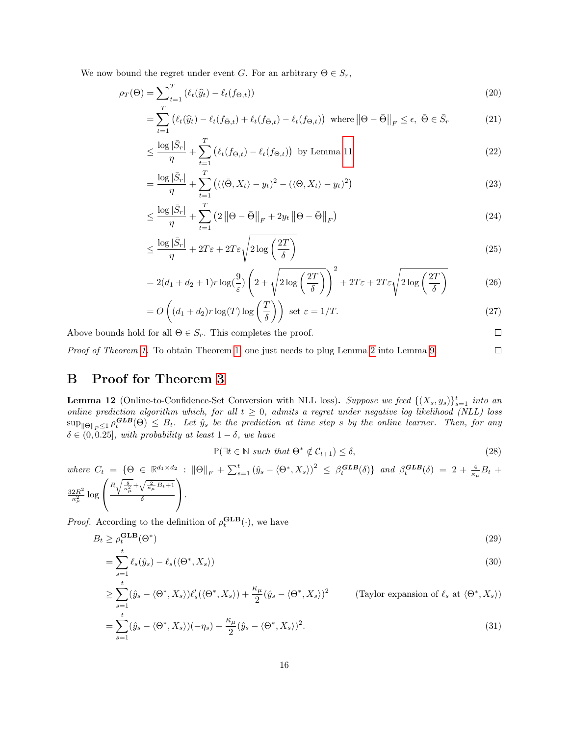We now bound the regret under event G. For an arbitrary  $\Theta \in S_r$ ,

$$
\rho_T(\Theta) = \sum_{t=1}^T \left( \ell_t(\widehat{y}_t) - \ell_t(f_{\Theta, t}) \right) \tag{20}
$$

$$
= \sum_{t=1}^{1} \left( \ell_t(\widehat{y}_t) - \ell_t(f_{\bar{\Theta},t}) + \ell_t(f_{\bar{\Theta},t}) - \ell_t(f_{\Theta,t}) \right) \text{ where } \left\| \Theta - \bar{\Theta} \right\|_F \le \epsilon, \ \bar{\Theta} \in \bar{S}_r \tag{21}
$$

$$
\leq \frac{\log|\bar{S}_r|}{\eta} + \sum_{t=1}^T \left(\ell_t(f_{\bar{\Theta},t}) - \ell_t(f_{\Theta,t})\right) \text{ by Lemma 11}
$$
\n
$$
(22)
$$

$$
= \frac{\log|\bar{S}_r|}{\eta} + \sum_{t=1}^T \left( (\langle \bar{\Theta}, X_t \rangle - y_t)^2 - (\langle \Theta, X_t \rangle - y_t)^2 \right) \tag{23}
$$

$$
\leq \frac{\log|\bar{S}_r|}{\eta} + \sum_{t=1}^T \left(2\left\|\Theta - \bar{\Theta}\right\|_F + 2y_t\left\|\Theta - \bar{\Theta}\right\|_F\right) \tag{24}
$$

$$
\leq \frac{\log|\bar{S}_r|}{\eta} + 2T\varepsilon + 2T\varepsilon\sqrt{2\log\left(\frac{2T}{\delta}\right)}\tag{25}
$$

$$
=2(d_1+d_2+1)r\log(\frac{9}{\varepsilon})\left(2+\sqrt{2\log\left(\frac{2T}{\delta}\right)}\right)^2+2T\varepsilon+2T\varepsilon\sqrt{2\log\left(\frac{2T}{\delta}\right)}
$$
(26)

$$
= O\left((d_1 + d_2)r \log(T) \log\left(\frac{T}{\delta}\right)\right) \text{ set } \varepsilon = 1/T. \tag{27}
$$

Above bounds hold for all  $\Theta \in S_r$ . This completes the proof.

Proof of Theorem [1.](#page-3-1) To obtain Theorem [1,](#page-3-1) one just needs to plug Lemma [2](#page-5-0) into Lemma [9.](#page-14-0)

# B Proof for Theorem [3](#page-6-1)

<span id="page-15-0"></span>**Lemma 12** (Online-to-Confidence-Set Conversion with NLL loss). Suppose we feed  $\{(X_s, y_s)\}_{s=1}^t$  into an online prediction algorithm which, for all  $t \geq 0$ , admits a regret under negative log likelihood (NLL) loss  $\sup_{\|\Theta\|_F\leq 1} \rho_t^{\mathbf{GLB}}(\Theta) \leq B_t$ . Let  $\hat{y}_s$  be the prediction at time step s by the online learner. Then, for any  $\delta \in (0, 0.25]$ , with probability at least  $1 - \delta$ , we have

$$
\mathbb{P}(\exists t \in \mathbb{N} \ such \ that \ \Theta^* \notin \mathcal{C}_{t+1}) \le \delta,
$$
\n
$$
(28)
$$

 $\Box$  $\Box$ 

where 
$$
C_t = \{ \Theta \in \mathbb{R}^{d_1 \times d_2} : \|\Theta\|_F + \sum_{s=1}^t (\hat{y}_s - \langle \Theta^*, X_s \rangle)^2 \leq \beta_t^{GLB}(\delta) \}
$$
 and  $\beta_t^{GLB}(\delta) = 2 + \frac{4}{\kappa_\mu} B_t + \frac{32R^2}{\kappa_\mu^2} \log \left( \frac{R \sqrt{\frac{8}{\kappa_\mu^2}} + \sqrt{\frac{2}{\kappa_\mu} B_t + 1}}{\delta} \right).$ 

*Proof.* According to the definition of  $\rho_t^{\text{GLB}}(\cdot)$ , we have

$$
B_t \ge \rho_t^{\mathbf{GLB}}(\Theta^*)\tag{29}
$$

$$
=\sum_{s=1}^{t} \ell_s(\hat{y}_s) - \ell_s(\langle \Theta^*, X_s \rangle) \tag{30}
$$

$$
\geq \sum_{s=1}^{t} (\hat{y}_s - \langle \Theta^*, X_s \rangle) \ell_s'(\langle \Theta^*, X_s \rangle) + \frac{\kappa_\mu}{2} (\hat{y}_s - \langle \Theta^*, X_s \rangle)^2 \qquad \text{(Taylor expansion of } \ell_s \text{ at } \langle \Theta^*, X_s \rangle)
$$

$$
=\sum_{s=1}^{t}(\hat{y}_s - \langle \Theta^*, X_s \rangle)(-\eta_s) + \frac{\kappa_\mu}{2}(\hat{y}_s - \langle \Theta^*, X_s \rangle)^2.
$$
\n(31)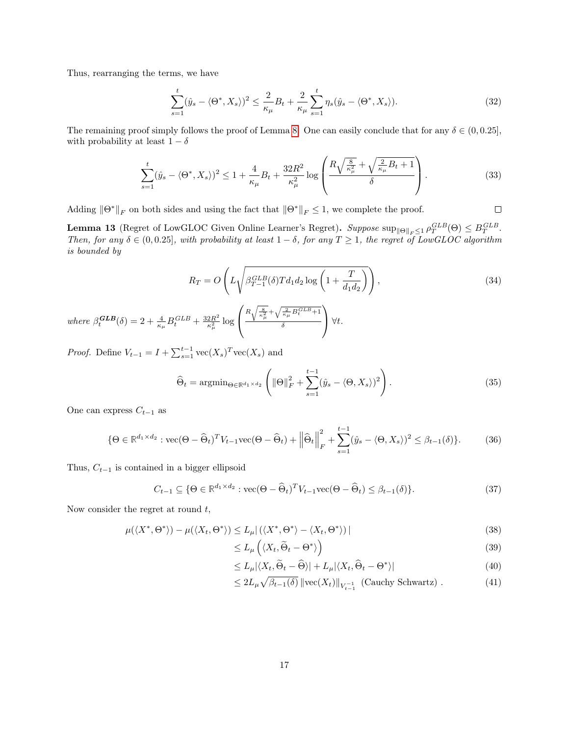Thus, rearranging the terms, we have

$$
\sum_{s=1}^{t} (\hat{y}_s - \langle \Theta^*, X_s \rangle)^2 \le \frac{2}{\kappa_{\mu}} B_t + \frac{2}{\kappa_{\mu}} \sum_{s=1}^{t} \eta_s (\hat{y}_s - \langle \Theta^*, X_s \rangle). \tag{32}
$$

The remaining proof simply follows the proof of Lemma [8.](#page-13-0) One can easily conclude that for any  $\delta \in (0, 0.25]$ , with probability at least  $1 - \delta$ 

$$
\sum_{s=1}^{t} (\hat{y}_s - \langle \Theta^*, X_s \rangle)^2 \le 1 + \frac{4}{\kappa_{\mu}} B_t + \frac{32R^2}{\kappa_{\mu}^2} \log \left( \frac{R \sqrt{\frac{8}{\kappa_{\mu}^2}} + \sqrt{\frac{2}{\kappa_{\mu}} B_t + 1}}{\delta} \right). \tag{33}
$$

Adding  $\|\Theta^*\|_F$  on both sides and using the fact that  $\|\Theta^*\|_F \leq 1$ , we complete the proof.

 $\Box$ 

<span id="page-16-0"></span>**Lemma 13** (Regret of LowGLOC Given Online Learner's Regret). Suppose  $\sup_{\|\Theta\|_F \leq 1} \rho_T^{GLB}(\Theta) \leq B_T^{GLB}$ . Then, for any  $\delta \in (0, 0.25]$ , with probability at least  $1 - \delta$ , for any  $T \ge 1$ , the regret of LowGLOC algorithm is bounded by

$$
R_T = O\left(L\sqrt{\beta_{T-1}^{GLB}(\delta) T d_1 d_2 \log\left(1 + \frac{T}{d_1 d_2}\right)}\right),\tag{34}
$$
\n
$$
\left(R\sqrt{\frac{8}{\delta} + \sqrt{\frac{2B}{\delta} C^{LB} + 1}}\right)
$$

where  $\beta_t^{\text{GLB}}(\delta) = 2 + \frac{4}{\kappa_\mu} B_t^{\text{GLB}} + \frac{32R^2}{\kappa_\mu^2}$  $\frac{2R^2}{\kappa_\mu^2}\log$  $\mathcal{L}$  $R\sqrt{\frac{8}{\kappa_{\mu}^2}}+\sqrt{\frac{2}{\kappa_{\mu}}B_t^{GLB}+1}$ δ  $\big| \forall t.$ 

*Proof.* Define  $V_{t-1} = I + \sum_{s=1}^{t-1} \text{vec}(X_s)^T \text{vec}(X_s)$  and

$$
\widehat{\Theta}_t = \operatorname{argmin}_{\Theta \in \mathbb{R}^{d_1 \times d_2}} \left( \|\Theta\|_F^2 + \sum_{s=1}^{t-1} (\widehat{y}_s - \langle \Theta, X_s \rangle)^2 \right). \tag{35}
$$

One can express  $C_{t-1}$  as

$$
\{\Theta \in \mathbb{R}^{d_1 \times d_2} : \text{vec}(\Theta - \widehat{\Theta}_t)^T V_{t-1} \text{vec}(\Theta - \widehat{\Theta}_t) + \left\| \widehat{\Theta}_t \right\|_F^2 + \sum_{s=1}^{t-1} (\hat{y}_s - \langle \Theta, X_s \rangle)^2 \le \beta_{t-1}(\delta) \}.
$$
 (36)

Thus,  $C_{t-1}$  is contained in a bigger ellipsoid

$$
C_{t-1} \subseteq \{ \Theta \in \mathbb{R}^{d_1 \times d_2} : \text{vec}(\Theta - \widehat{\Theta}_t)^T V_{t-1} \text{vec}(\Theta - \widehat{\Theta}_t) \le \beta_{t-1}(\delta) \}. \tag{37}
$$

Now consider the regret at round  $t$ ,

$$
\mu(\langle X^*, \Theta^* \rangle) - \mu(\langle X_t, \Theta^* \rangle) \le L_\mu |\langle \langle X^*, \Theta^* \rangle - \langle X_t, \Theta^* \rangle)|
$$
\n(38)

$$
\leq L_{\mu}\left(\langle X_t, \widetilde{\Theta}_t - \Theta^* \rangle\right) \tag{39}
$$

$$
\leq L_{\mu}|\langle X_t, \tilde{\Theta}_t - \hat{\Theta} \rangle| + L_{\mu}|\langle X_t, \hat{\Theta}_t - \Theta^* \rangle| \tag{40}
$$

$$
\leq 2L_{\mu}\sqrt{\beta_{t-1}(\delta)} \left\| \text{vec}(X_t) \right\|_{V_{t-1}^{-1}} \text{ (Cauchy Schwartz)} . \tag{41}
$$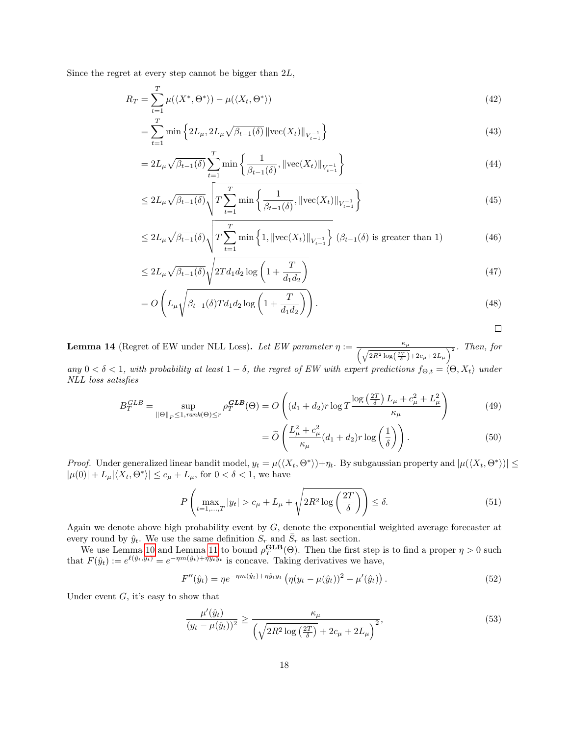Since the regret at every step cannot be bigger than 2L,

$$
R_T = \sum_{t=1}^T \mu(\langle X^*, \Theta^* \rangle) - \mu(\langle X_t, \Theta^* \rangle)
$$
\n(42)

$$
=\sum_{t=1}^{T} \min\left\{2L_{\mu}, 2L_{\mu}\sqrt{\beta_{t-1}(\delta)} \left\|\text{vec}(X_t)\right\|_{V_{t-1}^{-1}}\right\}\tag{43}
$$

$$
=2L_{\mu}\sqrt{\beta_{t-1}(\delta)}\sum_{t=1}^{T}\min\left\{\frac{1}{\beta_{t-1}(\delta)},\|\text{vec}(X_t)\|_{V_{t-1}^{-1}}\right\}\tag{44}
$$

$$
\leq 2L_{\mu}\sqrt{\beta_{t-1}(\delta)}\sqrt{T\sum_{t=1}^{T}\min\left\{\frac{1}{\beta_{t-1}(\delta)},\left\|\text{vec}(X_t)\right\|_{V_{t-1}^{-1}}\right\}}\tag{45}
$$

$$
\leq 2L_{\mu}\sqrt{\beta_{t-1}(\delta)}\sqrt{T\sum_{t=1}^{T}\min\left\{1,\left\|\text{vec}(X_t)\right\|_{V_{t-1}^{-1}}\right\}}\left(\beta_{t-1}(\delta)\text{ is greater than 1}\right) \tag{46}
$$

$$
\leq 2L_{\mu}\sqrt{\beta_{t-1}(\delta)}\sqrt{2Td_1d_2\log\left(1+\frac{T}{d_1d_2}\right)}\tag{47}
$$

$$
=O\left(L_{\mu}\sqrt{\beta_{t-1}(\delta)Td_1d_2\log\left(1+\frac{T}{d_1d_2}\right)}\right).
$$
\n(48)

<span id="page-17-0"></span>**Lemma 14** (Regret of EW under NLL Loss). Let EW parameter  $\eta := \frac{\kappa_{\mu}}{2 \pi \epsilon_0 m}$  $\frac{\kappa_{\mu}}{\left(\sqrt{2R^2\log\left(\frac{2T}{\delta}\right)}+2c_{\mu}+2L_{\mu}\right)^2}$ . Then, for

any  $0 < \delta < 1$ , with probability at least  $1 - \delta$ , the regret of EW with expert predictions  $f_{\Theta,t} = \langle \Theta, X_t \rangle$  under NLL loss satisfies

$$
B_T^{GLB} = \sup_{\|\Theta\|_F \le 1, rank(\Theta)\le r} \rho_T^{GLB}(\Theta) = O\left((d_1 + d_2)r \log T \frac{\log\left(\frac{2T}{\delta}\right)L_\mu + c_\mu^2 + L_\mu^2}{\kappa_\mu}\right)
$$
(49)

$$
= \widetilde{O}\left(\frac{L_{\mu}^2 + c_{\mu}^2}{\kappa_{\mu}}(d_1 + d_2)r\log\left(\frac{1}{\delta}\right)\right).
$$
\n(50)

*Proof.* Under generalized linear bandit model,  $y_t = \mu(\langle X_t, \Theta^* \rangle) + \eta_t$ . By subgaussian property and  $|\mu(\langle X_t, \Theta^* \rangle)| \le$  $|\mu(0)| + L_{\mu} |\langle X_t, \Theta^* \rangle| \leq c_{\mu} + L_{\mu}$ , for  $0 < \delta < 1$ , we have

$$
P\left(\max_{t=1,\dots,T}|y_t| > c_\mu + L_\mu + \sqrt{2R^2\log\left(\frac{2T}{\delta}\right)}\right) \le \delta. \tag{51}
$$

Again we denote above high probability event by G, denote the exponential weighted average forecaster at every round by  $\hat{y}_t$ . We use the same definition  $S_r$  and  $\bar{S}_r$  as last section.

We use Lemma [10](#page-14-2) and Lemma [11](#page-14-1) to bound  $\rho_T^{\text{GLB}}(\Theta)$ . Then the first step is to find a proper  $\eta > 0$  such that  $F(\hat{y}_t) := e^{\ell(\hat{y}_t, y_t)} = e^{-\eta m(\hat{y}_t) + \eta \hat{y}_t y_t}$  is concave. Taking derivatives we have,

$$
F''(\hat{y}_t) = \eta e^{-\eta m(\hat{y}_t) + \eta \hat{y}_t y_t} \left( \eta (y_t - \mu(\hat{y}_t))^2 - \mu'(\hat{y}_t) \right). \tag{52}
$$

Under event  $G$ , it's easy to show that

$$
\frac{\mu'(\hat{y}_t)}{(y_t - \mu(\hat{y}_t))^2} \ge \frac{\kappa_\mu}{\left(\sqrt{2R^2 \log\left(\frac{2T}{\delta}\right)} + 2c_\mu + 2L_\mu\right)^2},\tag{53}
$$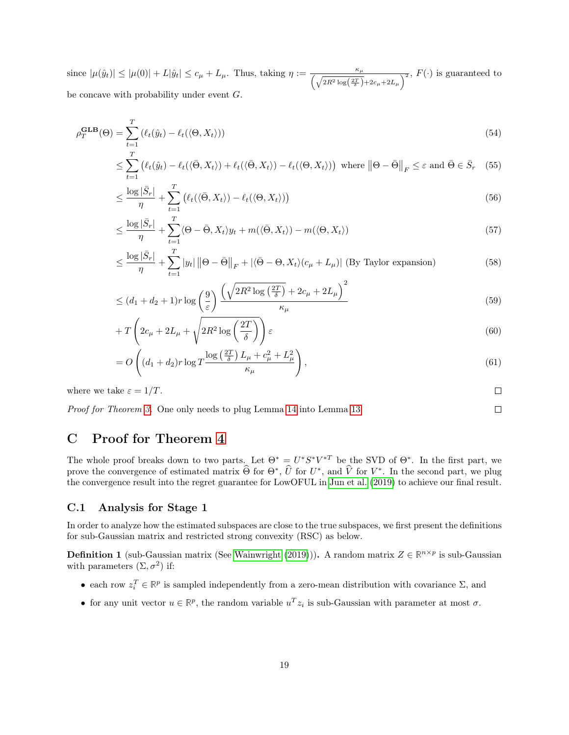since  $|\mu(\hat{y}_t)| \leq |\mu(0)| + L|\hat{y}_t| \leq c_\mu + L_\mu$ . Thus, taking  $\eta := \frac{\kappa_\mu}{\sqrt{1-\frac{2}{\kappa_\mu}}$  $\frac{\kappa_{\mu}}{\left(\sqrt{2R^2\log\left(\frac{2T}{\delta}\right)}+2c_{\mu}+2L_{\mu}\right)^2}$ ,  $F(\cdot)$  is guaranteed to be concave with probability under event G.

$$
\rho_T^{\mathbf{GLB}}(\Theta) = \sum_{t=1}^T (\ell_t(\hat{y}_t) - \ell_t(\langle \Theta, X_t \rangle))
$$
\n(54)

$$
\leq \sum_{t=1}^{I} \left( \ell_t(\hat{y}_t) - \ell_t(\langle \bar{\Theta}, X_t \rangle) + \ell_t(\langle \bar{\Theta}, X_t \rangle) - \ell_t(\langle \Theta, X_t \rangle) \right) \text{ where } \left\| \Theta - \bar{\Theta} \right\|_F \leq \varepsilon \text{ and } \bar{\Theta} \in \bar{S}_r \quad (55)
$$

$$
\leq \frac{\log|\bar{S}_r|}{\eta} + \sum_{t=1}^T \left( \ell_t(\langle \bar{\Theta}, X_t \rangle) - \ell_t(\langle \Theta, X_t \rangle) \right) \tag{56}
$$

$$
\leq \frac{\log|\bar{S}_r|}{\eta} + \sum_{t=1}^T \langle \Theta - \bar{\Theta}, X_t \rangle y_t + m(\langle \bar{\Theta}, X_t \rangle) - m(\langle \Theta, X_t \rangle) \tag{57}
$$

$$
\leq \frac{\log|\bar{S}_r|}{\eta} + \sum_{t=1}^T |y_t| \left\|\Theta - \bar{\Theta}\right\|_F + |\langle \bar{\Theta} - \Theta, X_t \rangle (c_\mu + L_\mu)| \text{ (By Taylor expansion)} \tag{58}
$$

$$
\leq (d_1 + d_2 + 1)r \log\left(\frac{9}{\varepsilon}\right) \frac{\left(\sqrt{2R^2 \log\left(\frac{2T}{\delta}\right)} + 2c_\mu + 2L_\mu\right)^2}{\kappa_\mu} \tag{59}
$$

$$
+T\left(2c_{\mu}+2L_{\mu}+\sqrt{2R^2\log\left(\frac{2T}{\delta}\right)}\right)\varepsilon\tag{60}
$$

$$
=O\left((d_1+d_2)r\log T\frac{\log\left(\frac{2T}{\delta}\right)L_{\mu}+c_{\mu}^2+L_{\mu}^2}{\kappa_{\mu}}\right),\tag{61}
$$

where we take  $\varepsilon = 1/T$ .

 $\Box$ 

 $\Box$ 

Proof for Theorem [3.](#page-6-1) One only needs to plug Lemma [14](#page-17-0) into Lemma [13.](#page-16-0)

## <span id="page-18-1"></span>C Proof for Theorem [4](#page-8-2)

The whole proof breaks down to two parts. Let  $\Theta^* = U^* S^* V^{*T}$  be the SVD of  $\Theta^*$ . In the first part, we prove the convergence of estimated matrix  $\widehat{\Theta}$  for  $\Theta^*$ ,  $\widehat{U}$  for  $U^*$ , and  $\widehat{V}$  for  $V^*$ . In the second part, we plug the convergence result into the regret guarantee for LowOFUL in [Jun et al.](#page-11-0) [\(2019\)](#page-11-0) to achieve our final result.

#### C.1 Analysis for Stage 1

In order to analyze how the estimated subspaces are close to the true subspaces, we first present the definitions for sub-Gaussian matrix and restricted strong convexity (RSC) as below.

<span id="page-18-0"></span>**Definition 1** (sub-Gaussian matrix (See [Wainwright](#page-12-1) [\(2019\)](#page-12-1))). A random matrix  $Z \in \mathbb{R}^{n \times p}$  is sub-Gaussian with parameters  $(\Sigma, \sigma^2)$  if:

- each row  $z_i^T \in \mathbb{R}^p$  is sampled independently from a zero-mean distribution with covariance  $\Sigma$ , and
- for any unit vector  $u \in \mathbb{R}^p$ , the random variable  $u^T z_i$  is sub-Gaussian with parameter at most  $\sigma$ .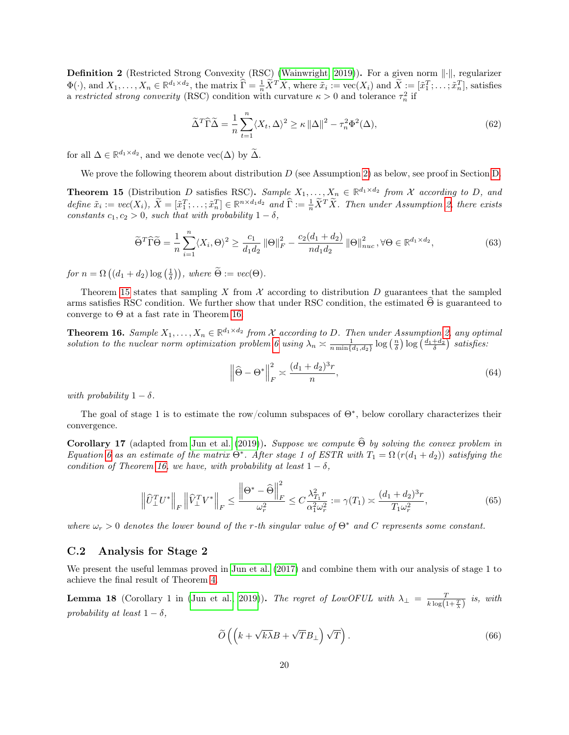<span id="page-19-3"></span>**Definition 2** (Restricted Strong Convexity (RSC) [\(Wainwright, 2019\)](#page-12-1)). For a given norm  $\lVert \cdot \rVert$ , regularizer  $\Phi(\cdot)$ , and  $X_1, \ldots, X_n \in \mathbb{R}^{d_1 \times d_2}$ , the matrix  $\widehat{\Gamma} = \frac{1}{n} \widetilde{X}^T \widetilde{X}$ , where  $\tilde{x}_i := \text{vec}(X_i)$  and  $\widetilde{X} := [\tilde{x}_1^T; \ldots; \tilde{x}_n^T]$ , satisfies a restricted strong convexity (RSC) condition with curvature  $\kappa > 0$  and tolerance  $\tau_n^2$  if

$$
\tilde{\Delta}^T \tilde{\Gamma} \tilde{\Delta} = \frac{1}{n} \sum_{t=1}^n \langle X_t, \Delta \rangle^2 \ge \kappa \left\| \Delta \right\|^2 - \tau_n^2 \Phi^2(\Delta),\tag{62}
$$

for all  $\Delta \in \mathbb{R}^{d_1 \times d_2}$ , and we denote  $\text{vec}(\Delta)$  by  $\tilde{\Delta}$ .

We prove the following theorem about distribution  $D$  (see Assumption [2\)](#page-7-2) as below, see proof in Section [D.](#page-20-0)

<span id="page-19-1"></span>**Theorem 15** (Distribution D satisfies RSC). Sample  $X_1, \ldots, X_n \in \mathbb{R}^{d_1 \times d_2}$  from X according to D, and define  $\tilde{x}_i := vec(X_i), \ \tilde{X} = [\tilde{x}_1^T; \dots; \tilde{x}_n^T] \in \mathbb{R}^{n \times d_1 d_2}$  and  $\hat{\Gamma} := \frac{1}{n} \tilde{X}^T \tilde{X}$ . Then under Assumption [2,](#page-7-2) there exists constants  $c_1, c_2 > 0$ , such that with probability  $1 - \delta$ ,

$$
\widetilde{\Theta}^T \widetilde{\Gamma} \widetilde{\Theta} = \frac{1}{n} \sum_{i=1}^n \langle X_i, \Theta \rangle^2 \ge \frac{c_1}{d_1 d_2} \left\| \Theta \right\|_F^2 - \frac{c_2 (d_1 + d_2)}{n d_1 d_2} \left\| \Theta \right\|_{nuc}^2, \forall \Theta \in \mathbb{R}^{d_1 \times d_2},\tag{63}
$$

for  $n = \Omega\left((d_1 + d_2)\log\left(\frac{1}{\delta}\right)\right)$ , where  $\widetilde{\Theta} := vec(\Theta)$ .

Theorem [15](#page-19-1) states that sampling X from  $X$  according to distribution D guarantees that the sampled arms satisfies RSC condition. We further show that under RSC condition, the estimated  $\Theta$  is guaranteed to converge to Θ at a fast rate in Theorem [16.](#page-19-0)

<span id="page-19-0"></span>**Theorem 16.** Sample  $X_1, \ldots, X_n \in \mathbb{R}^{d_1 \times d_2}$  from X according to D. Then under Assumption [2,](#page-7-2) any optimal solution to the nuclear norm optimization problem [6](#page-7-3) using  $\lambda_n \approx \frac{1}{n \min\{d_1, d_2\}} \log\left(\frac{n}{\delta}\right) \log\left(\frac{d_1+d_2}{\delta}\right)$  satisfies:

$$
\left\|\widehat{\Theta} - \Theta^*\right\|_F^2 \asymp \frac{(d_1 + d_2)^3 r}{n},\tag{64}
$$

with probability  $1 - \delta$ .

The goal of stage 1 is to estimate the row/column subspaces of  $\Theta^*$ , below corollary characterizes their convergence.

Corollary 17 (adapted from [Jun et al.](#page-11-0) [\(2019\)](#page-11-0)). Suppose we compute  $\widehat{\Theta}$  by solving the convex problem in Equation [6](#page-7-3) as an estimate of the matrix  $\Theta^*$ . After stage 1 of ESTR with  $T_1 = \Omega(r(d_1 + d_2))$  satisfying the condition of Theorem [16,](#page-19-0) we have, with probability at least  $1 - \delta$ ,

$$
\left\|\widehat{U}_{\perp}^T U^*\right\|_F \left\|\widehat{V}_{\perp}^T V^*\right\|_F \le \frac{\left\|\Theta^* - \widehat{\Theta}\right\|_F^2}{\omega_r^2} \le C\frac{\lambda_{T_1}^2 r}{\alpha_1^2 \omega_r^2} := \gamma(T_1) \asymp \frac{(d_1 + d_2)^3 r}{T_1 \omega_r^2},\tag{65}
$$

where  $\omega_r > 0$  denotes the lower bound of the r-th singular value of  $\Theta^*$  and C represents some constant.

#### C.2 Analysis for Stage 2

We present the useful lemmas proved in [Jun et al.](#page-11-14) [\(2017\)](#page-11-14) and combine them with our analysis of stage 1 to achieve the final result of Theorem [4.](#page-8-2)

<span id="page-19-2"></span>**Lemma 18** (Corollary 1 in [\(Jun et al., 2019\)](#page-11-0)). The regret of LowOFUL with  $\lambda_{\perp} = \frac{T}{k \log(1+\frac{T}{\lambda})}$  is, with probability at least  $1 - \delta$ ,

$$
\widetilde{O}\left(\left(k+\sqrt{k\lambda}B+\sqrt{T}B_{\perp}\right)\sqrt{T}\right).
$$
\n(66)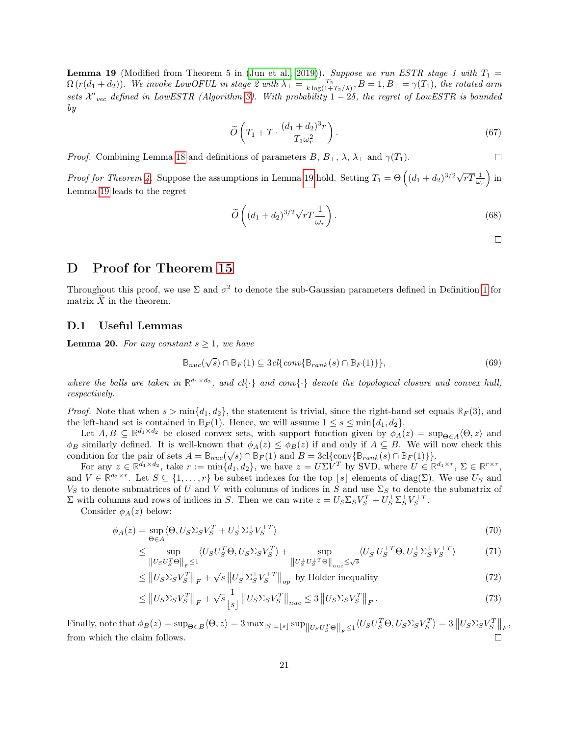<span id="page-20-1"></span>**Lemma 19** (Modified from Theorem 5 in [\(Jun et al., 2019\)](#page-11-0)). Suppose we run ESTR stage 1 with  $T_1 =$  $\Omega(r(d_1+d_2))$ . We invoke LowOFUL in stage 2 with  $\lambda_{\perp} = \frac{T_2}{k \log(1+T_2/\lambda)}, B = 1, B_{\perp} = \gamma(T_1)$ , the rotated arm sets  $\mathcal{X'}_{vec}$  defined in LowESTR (Algorithm [3\)](#page-7-1). With probability  $1-2\delta$ , the regret of LowESTR is bounded by

$$
\widetilde{O}\left(T_1 + T \cdot \frac{(d_1 + d_2)^3 r}{T_1 \omega_r^2}\right). \tag{67}
$$

*Proof.* Combining Lemma [18](#page-19-2) and definitions of parameters B,  $B_{\perp}$ ,  $\lambda$ ,  $\lambda_{\perp}$  and  $\gamma(T_1)$ .

Proof for Theorem [4.](#page-8-2) Suppose the assumptions in Lemma [19](#page-20-1) hold. Setting  $T_1 = \Theta\left((d_1 + d_2)^{3/2}\sqrt{rT} \frac{1}{\omega_r}\right)$  in Lemma [19](#page-20-1) leads to the regret

$$
\widetilde{O}\left((d_1+d_2)^{3/2}\sqrt{rT}\frac{1}{\omega_r}\right).
$$
\n(68)

 $\Box$ 

 $\Box$ 

### <span id="page-20-0"></span>D Proof for Theorem [15](#page-19-1)

Throughout this proof, we use  $\Sigma$  and  $\sigma^2$  to denote the sub-Gaussian parameters defined in Definition [1](#page-18-0) for matrix  $X$  in the theorem.

#### D.1 Useful Lemmas

<span id="page-20-2"></span>**Lemma 20.** For any constant  $s \geq 1$ , we have

$$
\mathbb{B}_{nuc}(\sqrt{s}) \cap \mathbb{B}_F(1) \subseteq 3cl\{conv\{\mathbb{B}_{rank}(s) \cap \mathbb{B}_F(1)\}\},\tag{69}
$$

where the balls are taken in  $\mathbb{R}^{d_1 \times d_2}$ , and cl{ $\cdot$ } and conv{ $\cdot$ } denote the topological closure and convex hull, respectively.

*Proof.* Note that when  $s > \min\{d_1, d_2\}$ , the statement is trivial, since the right-hand set equals  $\mathbb{R}_F(3)$ , and the left-hand set is contained in  $\mathbb{B}_F(1)$ . Hence, we will assume  $1 \leq s \leq \min\{d_1, d_2\}$ .

Let  $A, B \subseteq \mathbb{R}^{d_1 \times d_2}$  be closed convex sets, with support function given by  $\phi_A(z) = \sup_{\Theta \in A} \langle \Theta, z \rangle$  and  $\phi_B$  similarly defined. It is well-known that  $\phi_A(z) \leq \phi_B(z)$  if and only if  $A \subseteq B$ . We will now check this condition for the pair of sets  $A = \mathbb{B}_{nuc}(\sqrt{s}) \cap \mathbb{B}_F(1)$  and  $B = 3cl\{\text{conv}\{\mathbb{B}_{rank}(s) \cap \mathbb{B}_F(1)\}\}.$ 

For any  $z \in \mathbb{R}^{d_1 \times d_2}$ , take  $r := \min\{d_1, d_2\}$ , we have  $z = U\Sigma V^T$  by SVD, where  $U \in \mathbb{R}^{d_1 \times r}$ ,  $\Sigma \in \mathbb{R}^{r \times r}$ , and  $V \in \mathbb{R}^{d_2 \times r}$ . Let  $S \subseteq \{1, \ldots, r\}$  be subset indexes for the top  $\lfloor s \rfloor$  elements of diag( $\Sigma$ ). We use  $U_S$  and  $V_S$  to denote submatrices of U and V with columns of indices in S and use  $\Sigma_S$  to denote the submatrix of  $\Sigma$  with columns and rows of indices in S. Then we can write  $z = U_S \Sigma_S V_S^T + U_S^{\perp} \Sigma_S^{\perp} V_S^{\perp T}$ .

Consider  $\phi_A(z)$  below:

$$
\phi_A(z) = \sup_{\Theta \in A} \langle \Theta, U_S \Sigma_S V_S^T + U_S^{\perp} \Sigma_S^{\perp} V_S^{\perp T} \rangle \tag{70}
$$

$$
\leq \sup_{\|U_S U_S^T \Theta\|_F \leq 1} \langle U_S U_S^T \Theta, U_S \Sigma_S V_S^T \rangle + \sup_{\|U_S^{\perp} U_S^{\perp T} \Theta\|_{nuc} \leq \sqrt{s}} \langle U_S^{\perp} U_S^{\perp T} \Theta, U_S^{\perp} \Sigma_S^{\perp} V_S^{\perp T} \rangle \tag{71}
$$

$$
\leq \left\| U_S \Sigma_S V_S^T \right\|_F + \sqrt{s} \left\| U_S^{\perp} \Sigma_S^{\perp} V_S^{\perp T} \right\|_{op} \text{ by Holder inequality} \tag{72}
$$

$$
\leq \left\| U_S \Sigma_S V_S^T \right\|_F + \sqrt{s} \frac{1}{\lfloor s \rfloor} \left\| U_S \Sigma_S V_S^T \right\|_{nuc} \leq 3 \left\| U_S \Sigma_S V_S^T \right\|_F. \tag{73}
$$

 $\text{Finally, note that } \phi_B(z) = \sup_{\Theta \in B} \langle \Theta, z \rangle = 3 \max_{|S| = \lfloor s \rfloor} \sup_{\|U_S U_S^T \Theta \|_F \leq 1} \langle U_S U_S^T \Theta, U_S \Sigma_S V_S^T \rangle = 3 \left\| U_S \Sigma_S V_S^T \right\|_F,$ from which the claim follows.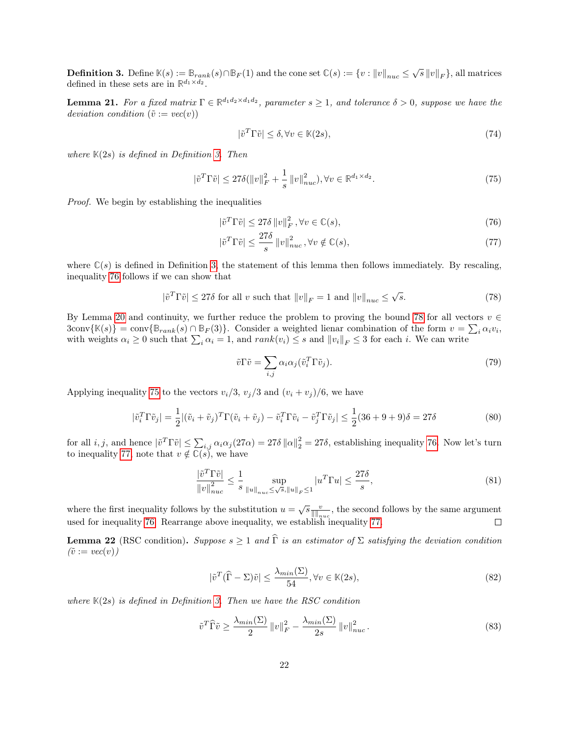<span id="page-21-0"></span>**Definition 3.** Define  $\mathbb{K}(s) := \mathbb{B}_{rank}(s) \cap \mathbb{B}_F(1)$  and the cone set  $\mathbb{C}(s) := \{v : ||v||_{nuc} \leq \sqrt{s} ||v||_F\}$ , all matrices defined in these sets are in  $\mathbb{R}^{d_1 \times d_2}$ .

<span id="page-21-5"></span>**Lemma 21.** For a fixed matrix  $\Gamma \in \mathbb{R}^{d_1 d_2 \times d_1 d_2}$ , parameter  $s \geq 1$ , and tolerance  $\delta > 0$ , suppose we have the deviation condition  $(\tilde{v} := vec(v))$ 

<span id="page-21-3"></span><span id="page-21-1"></span>
$$
|\tilde{v}^T \Gamma \tilde{v}| \le \delta, \forall v \in \mathbb{K}(2s),\tag{74}
$$

where  $K(2s)$  is defined in Definition [3.](#page-21-0) Then

$$
|\tilde{v}^T \Gamma \tilde{v}| \le 27\delta (||v||_F^2 + \frac{1}{s} ||v||_{nuc}^2), \forall v \in \mathbb{R}^{d_1 \times d_2}.
$$
 (75)

Proof. We begin by establishing the inequalities

$$
|\tilde{v}^T \Gamma \tilde{v}| \le 27\delta \|v\|_F^2, \forall v \in \mathbb{C}(s),\tag{76}
$$

<span id="page-21-4"></span>
$$
|\tilde{v}^T \Gamma \tilde{v}| \le \frac{27\delta}{s} ||v||_{nuc}^2, \forall v \notin \mathbb{C}(s),\tag{77}
$$

where  $\mathbb{C}(s)$  is defined in Definition [3,](#page-21-0) the statement of this lemma then follows immediately. By rescaling, inequality [76](#page-21-1) follows if we can show that

$$
|\tilde{v}^T \Gamma \tilde{v}| \le 27\delta \text{ for all } v \text{ such that } ||v||_F = 1 \text{ and } ||v||_{nuc} \le \sqrt{s}.
$$
 (78)

By Lemma [20](#page-20-2) and continuity, we further reduce the problem to proving the bound [78](#page-21-2) for all vectors  $v \in$  $3\text{conv}\{\mathbb{K}(s)\} = \text{conv}\{\mathbb{B}_{rank}(s) \cap \mathbb{B}_F(3)\}.$  Consider a weighted lienar combination of the form  $v = \sum_i \alpha_i v_i$ , with weights  $\alpha_i \geq 0$  such that  $\sum_i \alpha_i = 1$ , and  $rank(v_i) \leq s$  and  $||v_i||_F \leq 3$  for each i. We can write

<span id="page-21-2"></span>
$$
\tilde{v}\Gamma\tilde{v} = \sum_{i,j} \alpha_i \alpha_j (\tilde{v}_i^T \Gamma \tilde{v}_j). \tag{79}
$$

Applying inequality [75](#page-21-3) to the vectors  $v_i/3$ ,  $v_j/3$  and  $(v_i + v_j)/6$ , we have

$$
|\tilde{v}_i^T \Gamma \tilde{v}_j| = \frac{1}{2} |(\tilde{v}_i + \tilde{v}_j)^T \Gamma (\tilde{v}_i + \tilde{v}_j) - \tilde{v}_i^T \Gamma \tilde{v}_i - \tilde{v}_j^T \Gamma \tilde{v}_j| \le \frac{1}{2} (36 + 9 + 9)\delta = 27\delta
$$
\n(80)

for all *i*, *j*, and hence  $|\tilde{v}^T \Gamma \tilde{v}| \leq \sum_{i,j} \alpha_i \alpha_j (27\alpha) = 27\delta \|\alpha\|_2^2 = 27\delta$ , establishing inequality [76.](#page-21-1) Now let's turn to inequality [77,](#page-21-4) note that  $v \notin \mathbb{C}(s)$ , we have

$$
\frac{|\tilde{v}^T \Gamma \tilde{v}|}{\|v\|_{nuc}^2} \le \frac{1}{s} \sup_{\|u\|_{nuc} \le \sqrt{s}, \|u\|_F \le 1} |u^T \Gamma u| \le \frac{27\delta}{s},\tag{81}
$$

where the first inequality follows by the substitution  $u = \sqrt{s} \frac{v}{\|\|_{nuc}}$ , the second follows by the same argument used for inequality [76.](#page-21-1) Rearrange above inequality, we establish inequality [77.](#page-21-4)

<span id="page-21-6"></span>**Lemma 22** (RSC condition). Suppose  $s \ge 1$  and  $\widehat{\Gamma}$  is an estimator of  $\Sigma$  satisfying the deviation condition  $(\tilde{v} := vec(v))$ 

$$
|\tilde{v}^T(\hat{\Gamma} - \Sigma)\tilde{v}| \le \frac{\lambda_{min}(\Sigma)}{54}, \forall v \in \mathbb{K}(2s),\tag{82}
$$

where  $K(2s)$  is defined in Definition [3.](#page-21-0) Then we have the RSC condition

$$
\tilde{v}^T \widehat{\Gamma} \tilde{v} \ge \frac{\lambda_{min}(\Sigma)}{2} \left\| v \right\|_F^2 - \frac{\lambda_{min}(\Sigma)}{2s} \left\| v \right\|_{nuc}^2.
$$
\n
$$
(83)
$$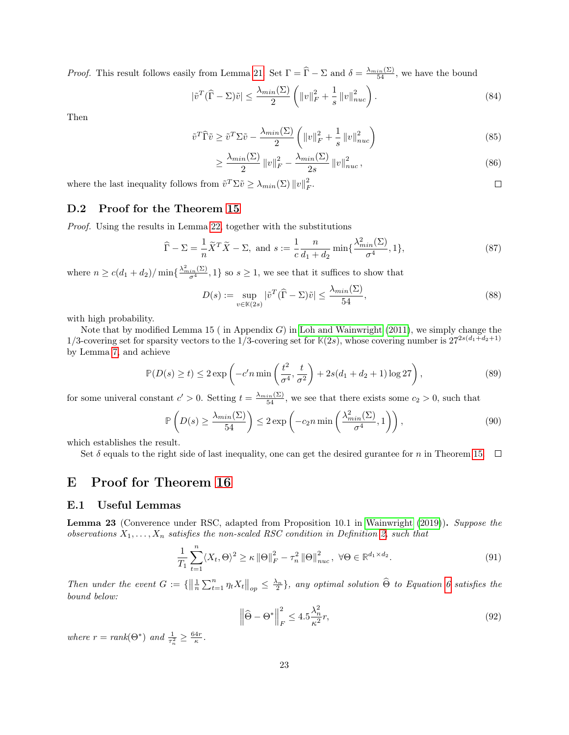*Proof.* This result follows easily from Lemma [21.](#page-21-5) Set  $\Gamma = \hat{\Gamma} - \Sigma$  and  $\delta = \frac{\lambda_{min}(\Sigma)}{54}$ , we have the bound

$$
|\tilde{v}^T(\widehat{\Gamma} - \Sigma)\tilde{v}| \le \frac{\lambda_{min}(\Sigma)}{2} \left( \|v\|_F^2 + \frac{1}{s} \|v\|_{nuc}^2 \right). \tag{84}
$$

Then

$$
\tilde{v}^T \hat{\Gamma} \tilde{v} \ge \tilde{v}^T \Sigma \tilde{v} - \frac{\lambda_{min}(\Sigma)}{2} \left( \|v\|_F^2 + \frac{1}{s} \|v\|_{nuc}^2 \right) \tag{85}
$$

$$
\geq \frac{\lambda_{min}(\Sigma)}{2} \left\| v \right\|_{F}^{2} - \frac{\lambda_{min}(\Sigma)}{2s} \left\| v \right\|_{nuc}^{2},\tag{86}
$$

 $\Box$ 

where the last inequality follows from  $\tilde{v}^T \Sigma \tilde{v} \geq \lambda_{min}(\Sigma) ||v||_F^2$ .

### D.2 Proof for the Theorem [15](#page-19-1)

Proof. Using the results in Lemma [22,](#page-21-6) together with the substitutions

$$
\widehat{\Gamma} - \Sigma = \frac{1}{n} \widetilde{X}^T \widetilde{X} - \Sigma, \text{ and } s := \frac{1}{c} \frac{n}{d_1 + d_2} \min\{\frac{\lambda_{min}^2(\Sigma)}{\sigma^4}, 1\},\tag{87}
$$

where  $n \ge c(d_1 + d_2) / \min\{\frac{\lambda_{min}^2(\Sigma)}{\sigma^4}, 1\}$  so  $s \ge 1$ , we see that it suffices to show that

$$
D(s) := \sup_{v \in \mathbb{K}(2s)} |\tilde{v}^T(\hat{\Gamma} - \Sigma)\tilde{v}| \le \frac{\lambda_{min}(\Sigma)}{54},\tag{88}
$$

with high probability.

Note that by modified Lemma 15 (in Appendix  $G$ ) in [Loh and Wainwright](#page-11-19) [\(2011\)](#page-11-19), we simply change the 1/3-covering set for sparsity vectors to the 1/3-covering set for  $\mathbb{K}(2s)$ , whose covering number is  $27^{2s(d_1+d_2+1)}$ by Lemma [7,](#page-13-1) and achieve

$$
\mathbb{P}(D(s) \ge t) \le 2 \exp\left(-c'n \min\left(\frac{t^2}{\sigma^4}, \frac{t}{\sigma^2}\right) + 2s(d_1 + d_2 + 1)\log 27\right),\tag{89}
$$

for some univeral constant  $c' > 0$ . Setting  $t = \frac{\lambda_{min}(\Sigma)}{54}$ , we see that there exists some  $c_2 > 0$ , such that

$$
\mathbb{P}\left(D(s) \ge \frac{\lambda_{min}(\Sigma)}{54}\right) \le 2 \exp\left(-c_2 n \min\left(\frac{\lambda_{min}^2(\Sigma)}{\sigma^4}, 1\right)\right),\tag{90}
$$

which establishes the result.

Set  $\delta$  equals to the right side of last inequality, one can get the desired gurantee for n in Theorem [15.](#page-19-1)  $\Box$ 

### <span id="page-22-0"></span>E Proof for Theorem [16](#page-19-0)

#### E.1 Useful Lemmas

<span id="page-22-1"></span>Lemma 23 (Converence under RSC, adapted from Proposition 10.1 in [Wainwright](#page-12-1) [\(2019\)](#page-12-1)). Suppose the observations  $X_1, \ldots, X_n$  satisfies the non-scaled RSC condition in Definition [2,](#page-19-3) such that

$$
\frac{1}{T_1} \sum_{t=1}^{n} \langle X_t, \Theta \rangle^2 \ge \kappa \left\| \Theta \right\|_F^2 - \tau_n^2 \left\| \Theta \right\|_{nuc}^2, \ \forall \Theta \in \mathbb{R}^{d_1 \times d_2}.
$$
\n(91)

Then under the event  $G := \{ ||\frac{1}{n} \sum_{t=1}^n \eta_t X_t ||_{op} \leq \frac{\lambda_n}{2} \}$ , any optimal solution  $\widehat{\Theta}$  to Equation [6](#page-7-3) satisfies the bound below:

$$
\left\|\widehat{\Theta} - \Theta^*\right\|_F^2 \le 4.5 \frac{\lambda_n^2}{\kappa^2} r,\tag{92}
$$

where  $r = rank(\Theta^*)$  and  $\frac{1}{\tau_n^2} \geq \frac{64r}{\kappa}$ .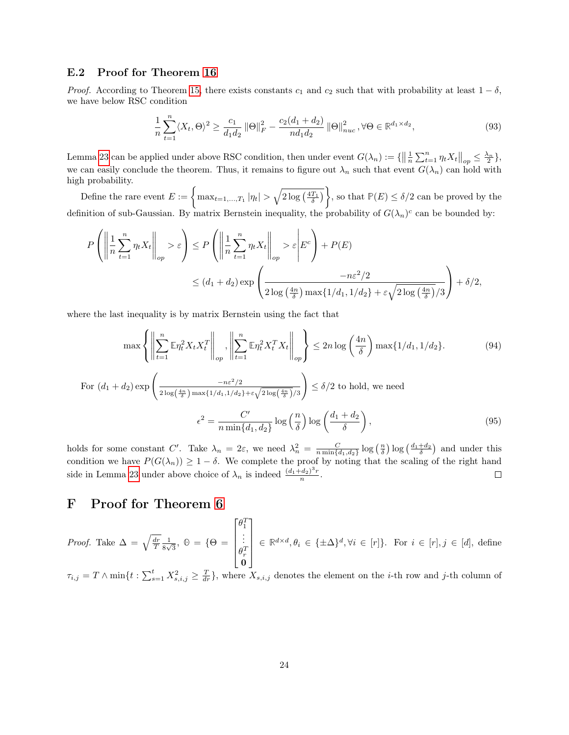#### E.2 Proof for Theorem [16](#page-19-0)

*Proof.* According to Theorem [15,](#page-19-1) there exists constants  $c_1$  and  $c_2$  such that with probability at least  $1 - \delta$ , we have below RSC condition

$$
\frac{1}{n}\sum_{t=1}^{n} \langle X_t, \Theta \rangle^2 \ge \frac{c_1}{d_1 d_2} \left\| \Theta \right\|_F^2 - \frac{c_2 (d_1 + d_2)}{n d_1 d_2} \left\| \Theta \right\|_{nuc}^2, \forall \Theta \in \mathbb{R}^{d_1 \times d_2},\tag{93}
$$

Lemma [23](#page-22-1) can be applied under above RSC condition, then under event  $G(\lambda_n) := \{ \left\| \frac{1}{n} \sum_{t=1}^n \eta_t X_t \right\|_{op} \le \frac{\lambda_n}{2} \}$ , we can easily conclude the theorem. Thus, it remains to figure out  $\lambda_n$  such that event  $G(\lambda_n)$  can hold with high probability.

Define the rare event  $E := \left\{ \max_{t=1,\ldots,T_1} |\eta_t| > \sqrt{2 \log\left(\frac{4T_1}{\delta}\right)} \right\}$ , so that  $\mathbb{P}(E) \le \delta/2$  can be proved by the definition of sub-Gaussian. By matrix Bernstein inequality, the probability of  $G(\lambda_n)^c$  can be bounded by:

$$
P\left(\left\|\frac{1}{n}\sum_{t=1}^{n}\eta_{t}X_{t}\right\|_{op} > \varepsilon\right) \le P\left(\left\|\frac{1}{n}\sum_{t=1}^{n}\eta_{t}X_{t}\right\|_{op} > \varepsilon\middle|E^{c}\right) + P(E)
$$
  

$$
\le (d_{1} + d_{2})\exp\left(\frac{-n\varepsilon^{2}/2}{2\log\left(\frac{4n}{\delta}\right)\max\{1/d_{1}, 1/d_{2}\} + \varepsilon\sqrt{2\log\left(\frac{4n}{\delta}\right)}/3}\right) + \delta/2,
$$

where the last inequality is by matrix Bernstein using the fact that

$$
\max\left\{\left\|\sum_{t=1}^{n}\mathbb{E}\eta_{t}^{2}X_{t}X_{t}^{T}\right\|_{op},\left\|\sum_{t=1}^{n}\mathbb{E}\eta_{t}^{2}X_{t}^{T}X_{t}\right\|_{op}\right\}\leq 2n\log\left(\frac{4n}{\delta}\right)\max\{1/d_{1}, 1/d_{2}\}.
$$
\n
$$
\text{For } (d_{1} + d_{2})\exp\left(\frac{-n\varepsilon^{2}/2}{\sqrt{(\delta_{1} + \delta_{2})^{2}(\delta_{1} + \delta_{2})^{2}}}\right) \leq \delta/2 \text{ to hold, we need}
$$
\n
$$
(94)
$$

$$
\epsilon^2 = \frac{C'}{n \min\{d_1, d_2\}} \log\left(\frac{m}{\delta}\right) \log\left(\frac{d_1 + d_2}{\delta}\right),\tag{95}
$$

holds for some constant C'. Take  $\lambda_n = 2\varepsilon$ , we need  $\lambda_n^2 = \frac{C}{n \min\{d_1, d_2\}} \log\left(\frac{n}{\delta}\right) \log\left(\frac{d_1 + d_2}{\delta}\right)$  and under this condition we have  $P(G(\lambda_n)) \geq 1 - \delta$ . We complete the proof by noting that the scaling of the right hand side in Lemma [23](#page-22-1) under above choice of  $\lambda_n$  is indeed  $\frac{(d_1+d_2)^3 r}{n}$  $\Box$  $\frac{(a_2)^r r}{n}$ .

### F Proof for Theorem [6](#page-9-1)

*Proof.* Take  $\Delta = \sqrt{\frac{dr}{T}} \frac{1}{8v}$  $\frac{1}{8\sqrt{3}}, \ \Theta = \{\Theta =$  $\lceil$   $\theta_1^T$ <br>:  $\begin{matrix} \theta_r^T\ \mathbf{0} \end{matrix}$ 1  $\in \mathbb{R}^{d \times d}, \theta_i \in {\{\pm \Delta\}}^d, \forall i \in [r]$ . For  $i \in [r], j \in [d]$ , define

 $\tau_{i,j} = T \wedge \min\{t : \sum_{s=1}^t X_{s,i,j}^2 \geq \frac{T}{dr}\}\,$ , where  $X_{s,i,j}$  denotes the element on the *i*-th row and *j*-th column of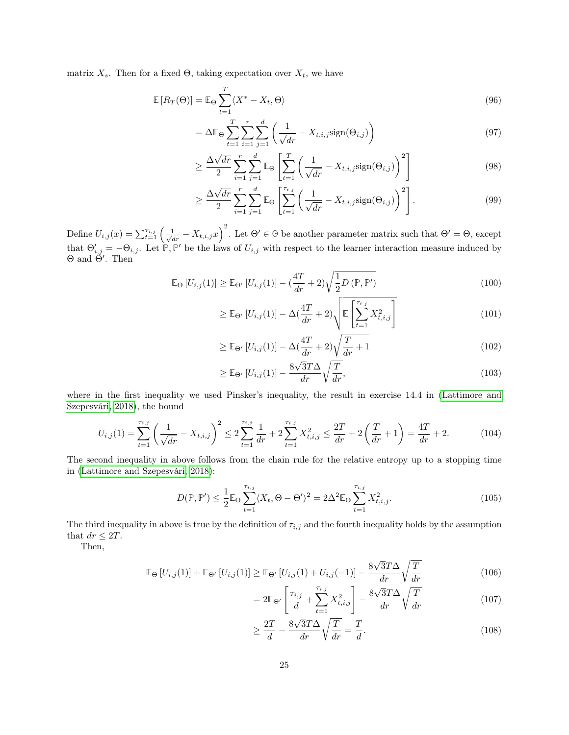matrix  $X_s$ . Then for a fixed  $\Theta$ , taking expectation over  $X_t$ , we have

$$
\mathbb{E}\left[R_T(\Theta)\right] = \mathbb{E}_{\Theta} \sum_{t=1}^T \langle X^* - X_t, \Theta \rangle \tag{96}
$$

$$
= \Delta \mathbb{E}_{\Theta} \sum_{t=1}^{T} \sum_{i=1}^{r} \sum_{j=1}^{d} \left( \frac{1}{\sqrt{dr}} - X_{t,i,j} sign(\Theta_{i,j}) \right)
$$
(97)

$$
\geq \frac{\Delta\sqrt{dr}}{2} \sum_{i=1}^{r} \sum_{j=1}^{d} \mathbb{E}_{\Theta} \left[ \sum_{t=1}^{T} \left( \frac{1}{\sqrt{dr}} - X_{t,i,j} sign(\Theta_{i,j}) \right)^2 \right]
$$
(98)

$$
\geq \frac{\Delta\sqrt{dr}}{2} \sum_{i=1}^{r} \sum_{j=1}^{d} \mathbb{E}_{\Theta} \left[ \sum_{t=1}^{\tau_{i,j}} \left( \frac{1}{\sqrt{dr}} - X_{t,i,j} \text{sign}(\Theta_{i,j}) \right)^2 \right]. \tag{99}
$$

Define  $U_{i,j}(x) = \sum_{t=1}^{\tau_{i,j}} \left( \frac{1}{\sqrt{dr}} - X_{t,i,j} x \right)^2$ . Let  $\Theta' \in \Theta$  be another parameter matrix such that  $\Theta' = \Theta$ , except that  $\Theta'_{i,j} = -\Theta_{i,j}$ . Let  $\mathbb{P}, \mathbb{P}'$  be the laws of  $U_{i,j}$  with respect to the learner interaction measure induced by  $\Theta$  and  $\Theta'$ . Then

$$
\mathbb{E}_{\Theta}\left[U_{i,j}(1)\right] \geq \mathbb{E}_{\Theta'}\left[U_{i,j}(1)\right] - \left(\frac{4T}{dr} + 2\right)\sqrt{\frac{1}{2}D\left(\mathbb{P}, \mathbb{P'}\right)}\tag{100}
$$

$$
\geq \mathbb{E}_{\Theta'}\left[U_{i,j}(1)\right] - \Delta\left(\frac{4T}{dr} + 2\right) \sqrt{\mathbb{E}\left[\sum_{t=1}^{\tau_{i,j}} X_{t,i,j}^2\right]}
$$
\n(101)

$$
\geq \mathbb{E}_{\Theta'}\left[U_{i,j}(1)\right] - \Delta\left(\frac{4T}{dr} + 2\right)\sqrt{\frac{T}{dr} + 1} \tag{102}
$$

$$
\geq \mathbb{E}_{\Theta'}\left[U_{i,j}(1)\right] - \frac{8\sqrt{3}T\Delta}{dr}\sqrt{\frac{T}{dr}},\tag{103}
$$

where in the first inequality we used Pinsker's inequality, the result in exercise 14.4 in [\(Lattimore and](#page-11-17) [Szepesvári, 2018\)](#page-11-17), the bound

$$
U_{i,j}(1) = \sum_{t=1}^{\tau_{i,j}} \left(\frac{1}{\sqrt{dr}} - X_{t,i,j}\right)^2 \le 2\sum_{t=1}^{\tau_{i,j}} \frac{1}{dr} + 2\sum_{t=1}^{\tau_{i,j}} X_{t,i,j}^2 \le \frac{2T}{dr} + 2\left(\frac{T}{dr} + 1\right) = \frac{4T}{dr} + 2. \tag{104}
$$

The second inequality in above follows from the chain rule for the relative entropy up to a stopping time in [\(Lattimore and Szepesvári, 2018\)](#page-11-17):

$$
D(\mathbb{P}, \mathbb{P}') \leq \frac{1}{2} \mathbb{E}_{\Theta} \sum_{t=1}^{\tau_{i,j}} \langle X_t, \Theta - \Theta' \rangle^2 = 2\Delta^2 \mathbb{E}_{\Theta} \sum_{t=1}^{\tau_{i,j}} X_{t,i,j}^2.
$$
 (105)

The third inequality in above is true by the definition of  $\tau_{i,j}$  and the fourth inequality holds by the assumption that  $dr \leq 2T$ .

Then,

$$
\mathbb{E}_{\Theta}\left[U_{i,j}(1)\right] + \mathbb{E}_{\Theta'}\left[U_{i,j}(1)\right] \geq \mathbb{E}_{\Theta'}\left[U_{i,j}(1) + U_{i,j}(-1)\right] - \frac{8\sqrt{3}T\Delta}{dr}\sqrt{\frac{T}{dr}}
$$
(106)

$$
=2\mathbb{E}_{\Theta'}\left[\frac{\tau_{i,j}}{d}+\sum_{t=1}^{\tau_{i,j}}X_{t,i,j}^{2}\right]-\frac{8\sqrt{3}T\Delta}{dr}\sqrt{\frac{T}{dr}}\tag{107}
$$

$$
\geq \frac{2T}{d} - \frac{8\sqrt{3}T\Delta}{dr} \sqrt{\frac{T}{dr}} = \frac{T}{d}.
$$
\n(108)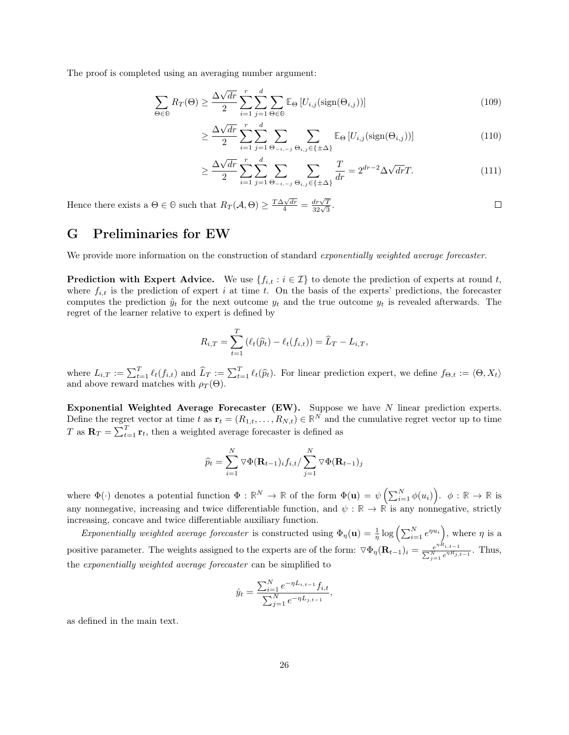The proof is completed using an averaging number argument:

$$
\sum_{\Theta \in \Theta} R_T(\Theta) \ge \frac{\Delta \sqrt{dr}}{2} \sum_{i=1}^r \sum_{j=1}^d \sum_{\Theta \in \Theta} \mathbb{E}_{\Theta} \left[ U_{i,j}(\text{sign}(\Theta_{i,j})) \right]
$$
(109)

$$
\geq \frac{\Delta\sqrt{dr}}{2} \sum_{i=1}^{r} \sum_{j=1}^{d} \sum_{\Theta_{-i,-j}} \sum_{\Theta_{i,j} \in \{\pm \Delta\}} \mathbb{E}_{\Theta} \left[ U_{i,j} (\text{sign}(\Theta_{i,j})) \right]
$$
(110)

$$
\geq \frac{\Delta\sqrt{dr}}{2} \sum_{i=1}^{r} \sum_{j=1}^{d} \sum_{\Theta_{-i,-j}} \sum_{\Theta_{i,j} \in \{\pm \Delta\}} \frac{T}{dr} = 2^{dr-2} \Delta\sqrt{dr} T. \tag{111}
$$

 $\Box$ 

Hence there exists a  $\Theta \in \Theta$  such that  $R_T(\mathcal{A}, \Theta) \geq \frac{T \Delta \sqrt{dr}}{4} = \frac{dr\sqrt{T}}{32\sqrt{3}}$ .

### <span id="page-25-0"></span>G Preliminaries for EW

We provide more information on the construction of standard exponentially weighted average forecaster.

**Prediction with Expert Advice.** We use  $\{f_{i,t} : i \in \mathcal{I}\}\)$  to denote the prediction of experts at round t, where  $f_{i,t}$  is the prediction of expert i at time t. On the basis of the experts' predictions, the forecaster computes the prediction  $\hat{y}_t$  for the next outcome  $y_t$  and the true outcome  $y_t$  is revealed afterwards. The regret of the learner relative to expert is defined by

$$
R_{i,T} = \sum_{t=1}^{T} (\ell_t(\widehat{p}_t) - \ell_t(f_{i,t})) = \widehat{L}_T - L_{i,T},
$$

where  $L_{i,T} := \sum_{t=1}^T \ell_t(f_{i,t})$  and  $\widehat{L}_T := \sum_{t=1}^T \ell_t(\widehat{p}_t)$ . For linear prediction expert, we define  $f_{\Theta,t} := \langle \Theta, X_t \rangle$ <br>and above reward matches with  $\rho_T(\Theta)$ .

Exponential Weighted Average Forecaster (EW). Suppose we have N linear prediction experts. Define the regret vector at time t as  $\mathbf{r}_t = (R_{1,t}, \ldots, R_{N,t}) \in \mathbb{R}^N$  and the cumulative regret vector up to time T as  $\mathbf{R}_T = \sum_{t=1}^T \mathbf{r}_t$ , then a weighted average forecaster is defined as

$$
\widehat{p}_t = \sum_{i=1}^N \nabla \Phi(\mathbf{R}_{t-1})_i f_{i,t} / \sum_{j=1}^N \nabla \Phi(\mathbf{R}_{t-1})_j
$$

where  $\Phi(\cdot)$  denotes a potential function  $\Phi : \mathbb{R}^N \to \mathbb{R}$  of the form  $\Phi(\mathbf{u}) = \psi\left(\sum_{i=1}^N \phi(u_i)\right)$ .  $\phi : \mathbb{R} \to \mathbb{R}$  is any nonnegative, increasing and twice differentiable function, and  $\psi : \mathbb{R} \to \mathbb{R}$  is any nonnegative, strictly increasing, concave and twice differentiable auxiliary function.

Exponentially weighted average forecaster is constructed using  $\Phi_{\eta}(\mathbf{u}) = \frac{1}{\eta} \log \left( \sum_{i=1}^{N} e^{\eta u_i} \right)$ , where  $\eta$  is a positive parameter. The weights assigned to the experts are of the form:  $\nabla \Phi_{\eta}(\mathbf{R}_{t-1})_i = \frac{e^{\eta R_{i,t-1}}}{\sum_{n} N_{i} e^{\eta R_{i}}}$  $\frac{e^{\eta \cdot x_{i,t-1}}}{\sum_{j=1}^{N} e^{\eta R_{j,t-1}}}$ . Thus, the exponentially weighted average forecaster can be simplified to

$$
\hat{y}_t = \frac{\sum_{i=1}^N e^{-\eta L_{i,t-1}} f_{i,t}}{\sum_{j=1}^N e^{-\eta L_{j,t-1}}},
$$

as defined in the main text.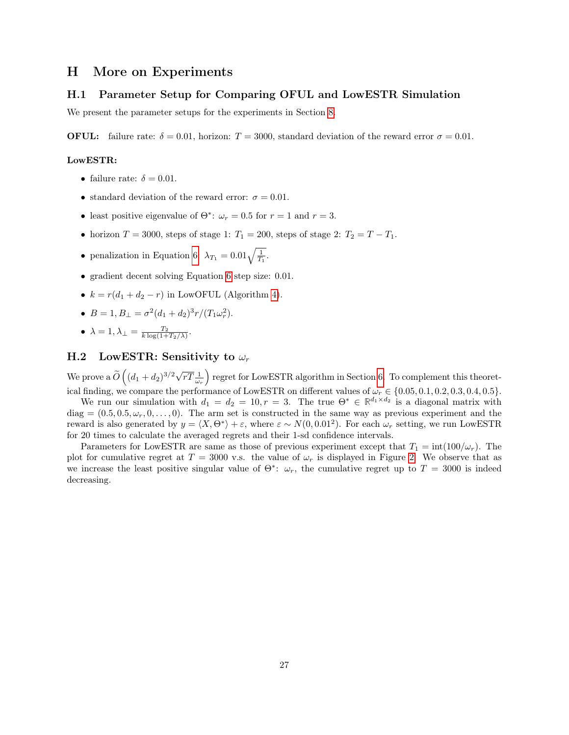### <span id="page-26-0"></span>H More on Experiments

#### H.1 Parameter Setup for Comparing OFUL and LowESTR Simulation

We present the parameter setups for the experiments in Section [8.](#page-9-2)

**OFUL:** failure rate:  $\delta = 0.01$ , horizon:  $T = 3000$ , standard deviation of the reward error  $\sigma = 0.01$ .

#### LowESTR:

- failure rate:  $\delta = 0.01$ .
- standard deviation of the reward error:  $\sigma = 0.01$ .
- least positive eigenvalue of  $\Theta^*$ :  $\omega_r = 0.5$  for  $r = 1$  and  $r = 3$ .
- horizon  $T = 3000$ , steps of stage 1:  $T_1 = 200$ , steps of stage 2:  $T_2 = T T_1$ .
- penalization in Equation [6:](#page-7-3)  $\lambda_{T_1} = 0.01 \sqrt{\frac{1}{T_1}}$ .
- gradient decent solving Equation [6](#page-7-3) step size: 0.01.
- $k = r(d_1 + d_2 r)$  in LowOFUL (Algorithm [4\)](#page-8-0).
- $B = 1, B_{\perp} = \sigma^2 (d_1 + d_2)^3 r / (T_1 \omega_r^2).$
- $\lambda = 1, \lambda_{\perp} = \frac{T_2}{k \log(1 + T_2/\lambda)}$ .

#### H.2 LowESTR: Sensitivity to  $\omega_r$

We prove a  $\widetilde{O}(\sqrt{(d_1+d_2)^{3/2}\sqrt{rT}\frac{1}{\omega_r}})$  regret for LowESTR algorithm in Section [6.](#page-7-0) To complement this theoretical finding, we compare the performance of LowESTR on different values of  $\omega_r \in \{0.05, 0.1, 0.2, 0.3, 0.4, 0.5\}$ .

We run our simulation with  $d_1 = d_2 = 10, r = 3$ . The true  $\Theta^* \in \mathbb{R}^{d_1 \times d_2}$  is a diagonal matrix with diag =  $(0.5, 0.5, \omega_r, 0, \ldots, 0)$ . The arm set is constructed in the same way as previous experiment and the reward is also generated by  $y = \langle X, \Theta^* \rangle + \varepsilon$ , where  $\varepsilon \sim N(0, 0.01^2)$ . For each  $\omega_r$  setting, we run LowESTR for 20 times to calculate the averaged regrets and their 1-sd confidence intervals.

Parameters for LowESTR are same as those of previous experiment except that  $T_1 = \text{int}(100/\omega_r)$ . The plot for cumulative regret at  $T = 3000$  v.s. the value of  $\omega_r$  is displayed in Figure [2.](#page-27-0) We observe that as we increase the least positive singular value of  $\Theta^*$ :  $\omega_r$ , the cumulative regret up to  $T = 3000$  is indeed decreasing.